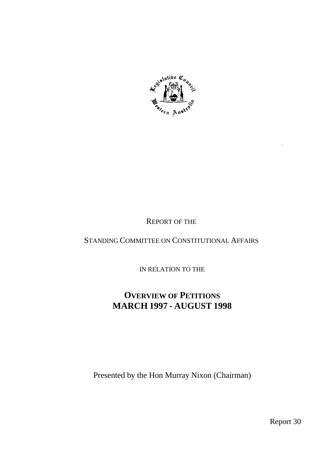

# REPORT OF THE

# STANDING COMMITTEE ON CONSTITUTIONAL AFFAIRS

IN RELATION TO THE

# **OVERVIEW OF PETITIONS MARCH 1997 - AUGUST 1998**

Presented by the Hon Murray Nixon (Chairman)

Report 30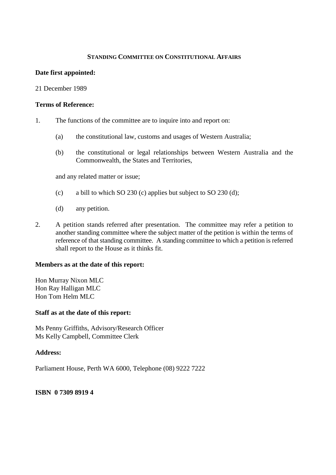#### **STANDING COMMITTEE ON CONSTITUTIONAL AFFAIRS**

#### **Date first appointed:**

21 December 1989

#### **Terms of Reference:**

- 1. The functions of the committee are to inquire into and report on:
	- (a) the constitutional law, customs and usages of Western Australia;
	- (b) the constitutional or legal relationships between Western Australia and the Commonwealth, the States and Territories,

and any related matter or issue;

- (c) a bill to which SO 230 (c) applies but subject to SO 230 (d);
- (d) any petition.
- 2. A petition stands referred after presentation. The committee may refer a petition to another standing committee where the subject matter of the petition is within the terms of reference of that standing committee. A standing committee to which a petition is referred shall report to the House as it thinks fit.

#### **Members as at the date of this report:**

Hon Murray Nixon MLC Hon Ray Halligan MLC Hon Tom Helm MLC

#### **Staff as at the date of this report:**

Ms Penny Griffiths, Advisory/Research Officer Ms Kelly Campbell, Committee Clerk

#### **Address:**

Parliament House, Perth WA 6000, Telephone (08) 9222 7222

#### **ISBN 0 7309 8919 4**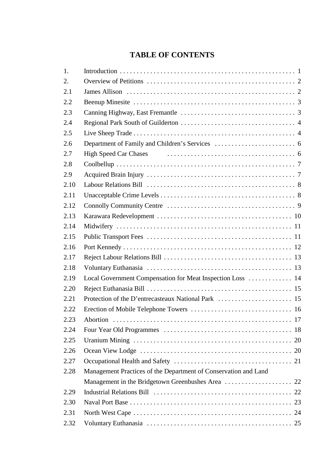# **TABLE OF CONTENTS**

| 1.   |                                                                 |
|------|-----------------------------------------------------------------|
| 2.   |                                                                 |
| 2.1  |                                                                 |
| 2.2  |                                                                 |
| 2.3  |                                                                 |
| 2.4  |                                                                 |
| 2.5  |                                                                 |
| 2.6  |                                                                 |
| 2.7  |                                                                 |
| 2.8  |                                                                 |
| 2.9  |                                                                 |
| 2.10 |                                                                 |
| 2.11 |                                                                 |
| 2.12 |                                                                 |
| 2.13 |                                                                 |
| 2.14 |                                                                 |
| 2.15 |                                                                 |
| 2.16 |                                                                 |
| 2.17 |                                                                 |
| 2.18 |                                                                 |
| 2.19 | Local Government Compensation for Meat Inspection Loss  14      |
| 2.20 |                                                                 |
| 2.21 |                                                                 |
| 2.22 |                                                                 |
| 2.23 |                                                                 |
| 2.24 |                                                                 |
| 2.25 |                                                                 |
| 2.26 |                                                                 |
| 2.27 |                                                                 |
| 2.28 | Management Practices of the Department of Conservation and Land |
|      |                                                                 |
| 2.29 |                                                                 |
| 2.30 |                                                                 |
| 2.31 |                                                                 |
| 2.32 |                                                                 |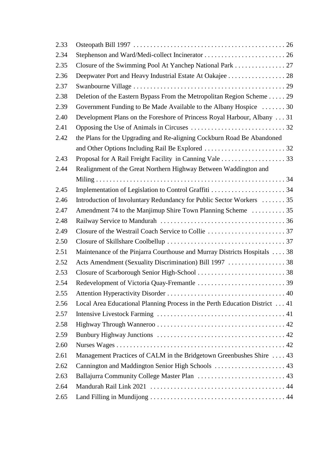| 2.33 |                                                                             |  |
|------|-----------------------------------------------------------------------------|--|
| 2.34 |                                                                             |  |
| 2.35 | Closure of the Swimming Pool At Yanchep National Park 27                    |  |
| 2.36 | Deepwater Port and Heavy Industrial Estate At Oakajee 28                    |  |
| 2.37 |                                                                             |  |
| 2.38 | Deletion of the Eastern Bypass From the Metropolitan Region Scheme 29       |  |
| 2.39 | Government Funding to Be Made Available to the Albany Hospice 30            |  |
| 2.40 | Development Plans on the Foreshore of Princess Royal Harbour, Albany 31     |  |
| 2.41 |                                                                             |  |
| 2.42 | the Plans for the Upgrading and Re-aligning Cockburn Road Be Abandoned      |  |
|      |                                                                             |  |
| 2.43 |                                                                             |  |
| 2.44 | Realignment of the Great Northern Highway Between Waddington and            |  |
|      |                                                                             |  |
| 2.45 | Implementation of Legislation to Control Graffiti 34                        |  |
| 2.46 | Introduction of Involuntary Redundancy for Public Sector Workers  35        |  |
| 2.47 | Amendment 74 to the Manjimup Shire Town Planning Scheme 35                  |  |
| 2.48 |                                                                             |  |
| 2.49 |                                                                             |  |
| 2.50 |                                                                             |  |
| 2.51 | Maintenance of the Pinjarra Courthouse and Murray Districts Hospitals 38    |  |
| 2.52 | Acts Amendment (Sexuality Discrimination) Bill 1997 38                      |  |
| 2.53 |                                                                             |  |
| 2.54 |                                                                             |  |
| 2.55 |                                                                             |  |
| 2.56 | Local Area Educational Planning Process in the Perth Education District  41 |  |
| 2.57 |                                                                             |  |
| 2.58 |                                                                             |  |
| 2.59 |                                                                             |  |
| 2.60 |                                                                             |  |
| 2.61 | Management Practices of CALM in the Bridgetown Greenbushes Shire  43        |  |
| 2.62 |                                                                             |  |
| 2.63 | Ballajurra Community College Master Plan  43                                |  |
| 2.64 |                                                                             |  |
| 2.65 |                                                                             |  |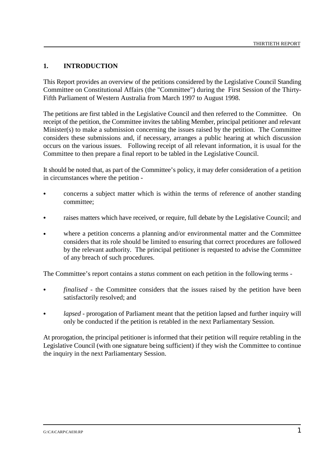#### **1. INTRODUCTION**

This Report provides an overview of the petitions considered by the Legislative Council Standing Committee on Constitutional Affairs (the "Committee") during the First Session of the Thirty-Fifth Parliament of Western Australia from March 1997 to August 1998.

The petitions are first tabled in the Legislative Council and then referred to the Committee. On receipt of the petition, the Committee invites the tabling Member, principal petitioner and relevant Minister(s) to make a submission concerning the issues raised by the petition. The Committee considers these submissions and, if necessary, arranges a public hearing at which discussion occurs on the various issues. Following receipt of all relevant information, it is usual for the Committee to then prepare a final report to be tabled in the Legislative Council.

It should be noted that, as part of the Committee's policy, it may defer consideration of a petition in circumstances where the petition -

- & concerns a subject matter which is within the terms of reference of another standing committee;
- raises matters which have received, or require, full debate by the Legislative Council; and
- where a petition concerns a planning and/or environmental matter and the Committee considers that its role should be limited to ensuring that correct procedures are followed by the relevant authority. The principal petitioner is requested to advise the Committee of any breach of such procedures.

The Committee's report contains a *status* comment on each petition in the following terms -

- *finalised* the Committee considers that the issues raised by the petition have been satisfactorily resolved; and
- *lapsed* prorogation of Parliament meant that the petition lapsed and further inquiry will only be conducted if the petition is retabled in the next Parliamentary Session.

At prorogation, the principal petitioner is informed that their petition will require retabling in the Legislative Council (with one signature being sufficient) if they wish the Committee to continue the inquiry in the next Parliamentary Session.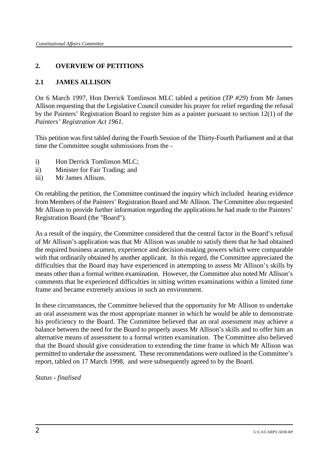## **2. OVERVIEW OF PETITIONS**

#### **2.1 JAMES ALLISON**

On 6 March 1997, Hon Derrick Tomlinson MLC tabled a petition (*TP #29*) from Mr James Allison requesting that the Legislative Council consider his prayer for relief regarding the refusal by the Painters' Registration Board to register him as a painter pursuant to section 12(1) of the *Painters' Registration Act 1961*.

This petition was first tabled during the Fourth Session of the Thirty-Fourth Parliament and at that time the Committee sought submissions from the -

- i) Hon Derrick Tomlinson MLC;
- ii) Minister for Fair Trading; and
- iii) Mr James Allison.

On retabling the petition, the Committee continued the inquiry which included hearing evidence from Members of the Painters' Registration Board and Mr Allison. The Committee also requested Mr Allison to provide further information regarding the applications he had made to the Painters' Registration Board (the "Board").

As a result of the inquiry, the Committee considered that the central factor in the Board's refusal of Mr Allison's application was that Mr Allison was unable to satisfy them that he had obtained the required business acumen, experience and decision-making powers which were comparable with that ordinarily obtained by another applicant. In this regard, the Committee appreciated the difficulties that the Board may have experienced in attempting to assess Mr Allison's skills by means other than a formal written examination. However, the Committee also noted Mr Allison's comments that he experienced difficulties in sitting written examinations within a limited time frame and became extremely anxious in such an environment.

In these circumstances, the Committee believed that the opportunity for Mr Allison to undertake an oral assessment was the most appropriate manner in which he would be able to demonstrate his proficiency to the Board. The Committee believed that an oral assessment may achieve a balance between the need for the Board to properly assess Mr Allison's skills and to offer him an alternative means of assessment to a formal written examination. The Committee also believed that the Board should give consideration to extending the time frame in which Mr Allison was permitted to undertake the assessment. These recommendations were outlined in the Committee's report, tabled on 17 March 1998, and were subsequently agreed to by the Board.

*Status - finalised*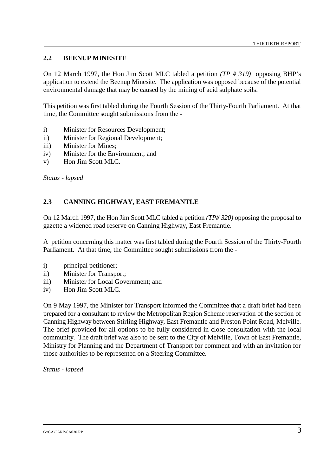### **2.2 BEENUP MINESITE**

On 12 March 1997, the Hon Jim Scott MLC tabled a petition *(TP # 319)* opposing BHP's application to extend the Beenup Minesite. The application was opposed because of the potential environmental damage that may be caused by the mining of acid sulphate soils.

This petition was first tabled during the Fourth Session of the Thirty-Fourth Parliament. At that time, the Committee sought submissions from the -

- i) Minister for Resources Development;
- ii) Minister for Regional Development;
- iii) Minister for Mines;
- iv) Minister for the Environment; and
- v) Hon Jim Scott MLC.

*Status - lapsed*

#### **2.3 CANNING HIGHWAY, EAST FREMANTLE**

On 12 March 1997, the Hon Jim Scott MLC tabled a petition *(TP# 320)* opposing the proposal to gazette a widened road reserve on Canning Highway, East Fremantle.

A petition concerning this matter was first tabled during the Fourth Session of the Thirty-Fourth Parliament. At that time, the Committee sought submissions from the -

- i) principal petitioner;
- ii) Minister for Transport;
- iii) Minister for Local Government; and
- iv) Hon Jim Scott MLC.

On 9 May 1997, the Minister for Transport informed the Committee that a draft brief had been prepared for a consultant to review the Metropolitan Region Scheme reservation of the section of Canning Highway between Stirling Highway, East Fremantle and Preston Point Road, Melville. The brief provided for all options to be fully considered in close consultation with the local community. The draft brief was also to be sent to the City of Melville, Town of East Fremantle, Ministry for Planning and the Department of Transport for comment and with an invitation for those authorities to be represented on a Steering Committee.

*Status - lapsed*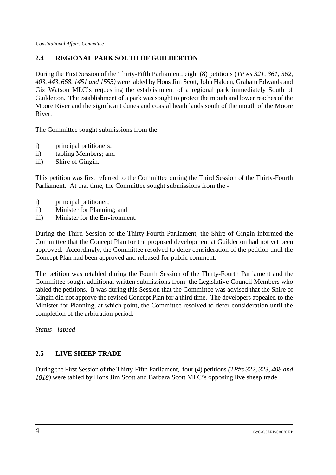# **2.4 REGIONAL PARK SOUTH OF GUILDERTON**

During the First Session of the Thirty-Fifth Parliament, eight (8) petitions (*TP #s 321, 361, 362, 403, 443, 668, 1451 and 1555)* were tabled by Hons Jim Scott, John Halden, Graham Edwards and Giz Watson MLC's requesting the establishment of a regional park immediately South of Guilderton. The establishment of a park was sought to protect the mouth and lower reaches of the Moore River and the significant dunes and coastal heath lands south of the mouth of the Moore River.

The Committee sought submissions from the -

- i) principal petitioners;
- ii) tabling Members; and
- iii) Shire of Gingin.

This petition was first referred to the Committee during the Third Session of the Thirty-Fourth Parliament. At that time, the Committee sought submissions from the -

- i) principal petitioner;
- ii) Minister for Planning; and
- iii) Minister for the Environment.

During the Third Session of the Thirty-Fourth Parliament, the Shire of Gingin informed the Committee that the Concept Plan for the proposed development at Guilderton had not yet been approved. Accordingly, the Committee resolved to defer consideration of the petition until the Concept Plan had been approved and released for public comment.

The petition was retabled during the Fourth Session of the Thirty-Fourth Parliament and the Committee sought additional written submissions from the Legislative Council Members who tabled the petitions. It was during this Session that the Committee was advised that the Shire of Gingin did not approve the revised Concept Plan for a third time. The developers appealed to the Minister for Planning, at which point, the Committee resolved to defer consideration until the completion of the arbitration period.

*Status - lapsed*

# **2.5 LIVE SHEEP TRADE**

During the First Session of the Thirty-Fifth Parliament, four (4) petitions *(TP#s 322, 323, 408 and 1018)* were tabled by Hons Jim Scott and Barbara Scott MLC's opposing live sheep trade.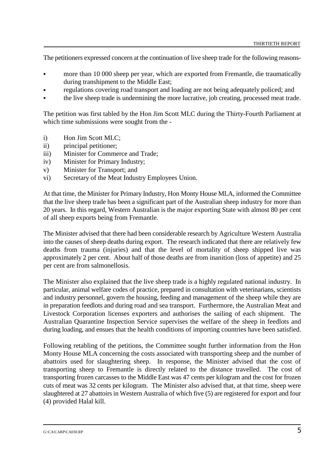The petitioners expressed concern at the continuation of live sheep trade for the following reasons-

- more than 10 000 sheep per year, which are exported from Fremantle, die traumatically during transhipment to the Middle East;
- regulations covering road transport and loading are not being adequately policed; and
- the live sheep trade is undermining the more lucrative, job creating, processed meat trade.

The petition was first tabled by the Hon Jim Scott MLC during the Thirty-Fourth Parliament at which time submissions were sought from the -

- i) Hon Jim Scott MLC;
- ii) principal petitioner;
- iii) Minister for Commerce and Trade;
- iv) Minister for Primary Industry;
- v) Minister for Transport; and
- vi) Secretary of the Meat Industry Employees Union.

At that time, the Minister for Primary Industry, Hon Monty House MLA, informed the Committee that the live sheep trade has been a significant part of the Australian sheep industry for more than 20 years. In this regard, Western Australian is the major exporting State with almost 80 per cent of all sheep exports being from Fremantle.

The Minister advised that there had been considerable research by Agriculture Western Australia into the causes of sheep deaths during export. The research indicated that there are relatively few deaths from trauma (injuries) and that the level of mortality of sheep shipped live was approximately 2 per cent. About half of those deaths are from inanition (loss of appetite) and 25 per cent are from salmonellosis.

The Minister also explained that the live sheep trade is a highly regulated national industry. In particular, animal welfare codes of practice, prepared in consultation with veterinarians, scientists and industry personnel, govern the housing, feeding and management of the sheep while they are in preparation feedlots and during road and sea transport. Furthermore, the Australian Meat and Livestock Corporation licenses exporters and authorises the sailing of each shipment. The Australian Quarantine Inspection Service supervises the welfare of the sheep in feedlots and during loading, and ensues that the health conditions of importing countries have been satisfied.

Following retabling of the petitions, the Committee sought further information from the Hon Monty House MLA concerning the costs associated with transporting sheep and the number of abattoirs used for slaughtering sheep. In response, the Minister advised that the cost of transporting sheep to Fremantle is directly related to the distance travelled. The cost of transporting frozen carcasses to the Middle East was 47 cents per kilogram and the cost for frozen cuts of meat was 32 cents per kilogram. The Minister also advised that, at that time, sheep were slaughtered at 27 abattoirs in Western Australia of which five (5) are registered for export and four (4) provided Halal kill.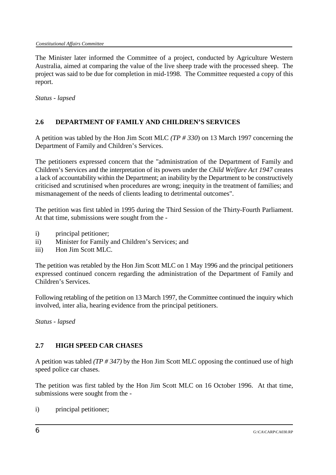The Minister later informed the Committee of a project, conducted by Agriculture Western Australia, aimed at comparing the value of the live sheep trade with the processed sheep. The project was said to be due for completion in mid-1998. The Committee requested a copy of this report.

*Status - lapsed*

# **2.6 DEPARTMENT OF FAMILY AND CHILDREN'S SERVICES**

A petition was tabled by the Hon Jim Scott MLC *(TP # 330*) on 13 March 1997 concerning the Department of Family and Children's Services.

The petitioners expressed concern that the "administration of the Department of Family and Children's Services and the interpretation of its powers under the *Child Welfare Act 1947* creates a lack of accountability within the Department; an inability by the Department to be constructively criticised and scrutinised when procedures are wrong; inequity in the treatment of families; and mismanagement of the needs of clients leading to detrimental outcomes".

The petition was first tabled in 1995 during the Third Session of the Thirty-Fourth Parliament. At that time, submissions were sought from the -

- i) principal petitioner;
- ii) Minister for Family and Children's Services; and
- iii) Hon Jim Scott MLC.

The petition was retabled by the Hon Jim Scott MLC on 1 May 1996 and the principal petitioners expressed continued concern regarding the administration of the Department of Family and Children's Services.

Following retabling of the petition on 13 March 1997, the Committee continued the inquiry which involved, inter alia, hearing evidence from the principal petitioners.

*Status - lapsed*

#### **2.7 HIGH SPEED CAR CHASES**

A petition was tabled *(TP # 347)* by the Hon Jim Scott MLC opposing the continued use of high speed police car chases.

The petition was first tabled by the Hon Jim Scott MLC on 16 October 1996. At that time, submissions were sought from the -

i) principal petitioner;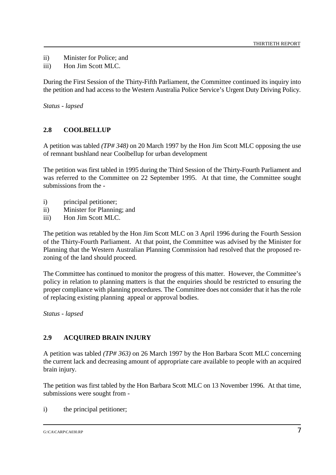- ii) Minister for Police; and
- iii) Hon Jim Scott MLC.

During the First Session of the Thirty-Fifth Parliament, the Committee continued its inquiry into the petition and had access to the Western Australia Police Service's Urgent Duty Driving Policy.

*Status - lapsed*

## **2.8 COOLBELLUP**

A petition was tabled *(TP# 348)* on 20 March 1997 by the Hon Jim Scott MLC opposing the use of remnant bushland near Coolbellup for urban development

The petition was first tabled in 1995 during the Third Session of the Thirty-Fourth Parliament and was referred to the Committee on 22 September 1995. At that time, the Committee sought submissions from the -

- i) principal petitioner;
- ii) Minister for Planning; and
- iii) Hon Jim Scott MLC.

The petition was retabled by the Hon Jim Scott MLC on 3 April 1996 during the Fourth Session of the Thirty-Fourth Parliament. At that point, the Committee was advised by the Minister for Planning that the Western Australian Planning Commission had resolved that the proposed rezoning of the land should proceed.

The Committee has continued to monitor the progress of this matter. However, the Committee's policy in relation to planning matters is that the enquiries should be restricted to ensuring the proper compliance with planning procedures. The Committee does not consider that it has the role of replacing existing planning appeal or approval bodies.

*Status - lapsed*

# **2.9 ACQUIRED BRAIN INJURY**

A petition was tabled *(TP# 363)* on 26 March 1997 by the Hon Barbara Scott MLC concerning the current lack and decreasing amount of appropriate care available to people with an acquired brain injury.

The petition was first tabled by the Hon Barbara Scott MLC on 13 November 1996. At that time, submissions were sought from -

i) the principal petitioner;

# $G:\C{C}A\text{C}ARP\text{C}A030.RP$   $7$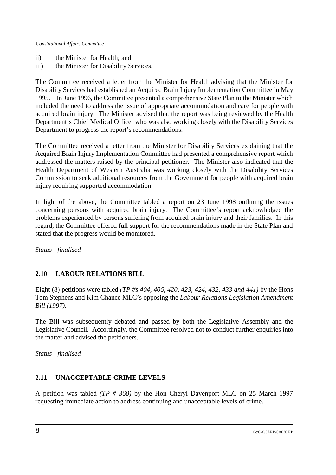- ii) the Minister for Health; and
- iii) the Minister for Disability Services.

The Committee received a letter from the Minister for Health advising that the Minister for Disability Services had established an Acquired Brain Injury Implementation Committee in May 1995. In June 1996, the Committee presented a comprehensive State Plan to the Minister which included the need to address the issue of appropriate accommodation and care for people with acquired brain injury. The Minister advised that the report was being reviewed by the Health Department's Chief Medical Officer who was also working closely with the Disability Services Department to progress the report's recommendations.

The Committee received a letter from the Minister for Disability Services explaining that the Acquired Brain Injury Implementation Committee had presented a comprehensive report which addressed the matters raised by the principal petitioner. The Minister also indicated that the Health Department of Western Australia was working closely with the Disability Services Commission to seek additional resources from the Government for people with acquired brain injury requiring supported accommodation.

In light of the above, the Committee tabled a report on 23 June 1998 outlining the issues concerning persons with acquired brain injury. The Committee's report acknowledged the problems experienced by persons suffering from acquired brain injury and their families. In this regard, the Committee offered full support for the recommendations made in the State Plan and stated that the progress would be monitored.

*Status - finalised*

# **2.10 LABOUR RELATIONS BILL**

Eight (8) petitions were tabled *(TP #s 404, 406, 420, 423, 424, 432, 433 and 441)* by the Hons Tom Stephens and Kim Chance MLC's opposing the *Labour Relations Legislation Amendment Bill (1997).*

The Bill was subsequently debated and passed by both the Legislative Assembly and the Legislative Council. Accordingly, the Committee resolved not to conduct further enquiries into the matter and advised the petitioners.

*Status - finalised*

#### **2.11 UNACCEPTABLE CRIME LEVELS**

A petition was tabled *(TP # 360)* by the Hon Cheryl Davenport MLC on 25 March 1997 requesting immediate action to address continuing and unacceptable levels of crime.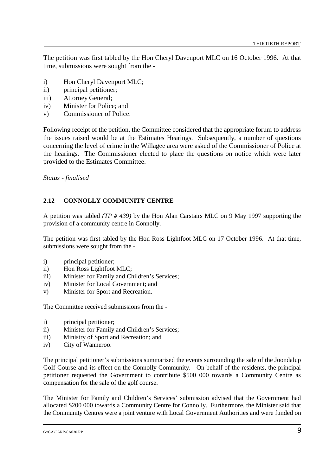The petition was first tabled by the Hon Cheryl Davenport MLC on 16 October 1996. At that time, submissions were sought from the -

- i) Hon Cheryl Davenport MLC;
- ii) principal petitioner;
- iii) Attorney General;
- iv) Minister for Police; and
- v) Commissioner of Police.

Following receipt of the petition, the Committee considered that the appropriate forum to address the issues raised would be at the Estimates Hearings. Subsequently, a number of questions concerning the level of crime in the Willagee area were asked of the Commissioner of Police at the hearings. The Commissioner elected to place the questions on notice which were later provided to the Estimates Committee.

*Status - finalised*

#### **2.12 CONNOLLY COMMUNITY CENTRE**

A petition was tabled *(TP # 439)* by the Hon Alan Carstairs MLC on 9 May 1997 supporting the provision of a community centre in Connolly.

The petition was first tabled by the Hon Ross Lightfoot MLC on 17 October 1996. At that time, submissions were sought from the -

- i) principal petitioner;
- ii) Hon Ross Lightfoot MLC;
- iii) Minister for Family and Children's Services;
- iv) Minister for Local Government; and
- v) Minister for Sport and Recreation.

The Committee received submissions from the -

- i) principal petitioner;
- ii) Minister for Family and Children's Services;
- iii) Ministry of Sport and Recreation; and
- iv) City of Wanneroo.

The principal petitioner's submissions summarised the events surrounding the sale of the Joondalup Golf Course and its effect on the Connolly Community. On behalf of the residents, the principal petitioner requested the Government to contribute \$500 000 towards a Community Centre as compensation for the sale of the golf course.

The Minister for Family and Children's Services' submission advised that the Government had allocated \$200 000 towards a Community Centre for Connolly. Furthermore, the Minister said that the Community Centres were a joint venture with Local Government Authorities and were funded on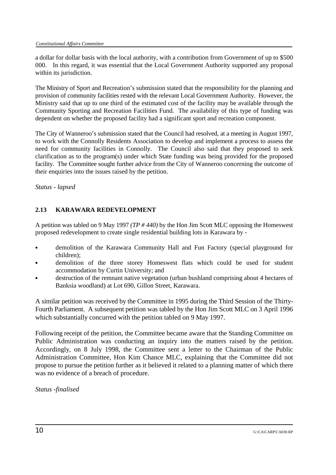a dollar for dollar basis with the local authority, with a contribution from Government of up to \$500 000. In this regard, it was essential that the Local Government Authority supported any proposal within its jurisdiction.

The Ministry of Sport and Recreation's submission stated that the responsibility for the planning and provision of community facilities rested with the relevant Local Government Authority. However, the Ministry said that up to one third of the estimated cost of the facility may be available through the Community Sporting and Recreation Facilities Fund. The availability of this type of funding was dependent on whether the proposed facility had a significant sport and recreation component.

The City of Wanneroo's submission stated that the Council had resolved, at a meeting in August 1997, to work with the Connolly Residents Association to develop and implement a process to assess the need for community facilities in Connolly. The Council also said that they proposed to seek clarification as to the program(s) under which State funding was being provided for the proposed facility. The Committee sought further advice from the City of Wanneroo concerning the outcome of their enquiries into the issues raised by the petition.

*Status - lapsed*

## **2.13 KARAWARA REDEVELOPMENT**

A petition was tabled on 9 May 1997 *(TP # 440)* by the Hon Jim Scott MLC opposing the Homeswest proposed redevelopment to create single residential building lots in Karawara by -

- demolition of the Karawara Community Hall and Fun Factory (special playground for children);
- demolition of the three storey Homeswest flats which could be used for student accommodation by Curtin University; and
- destruction of the remnant native vegetation (urban bushland comprising about 4 hectares of Banksia woodland) at Lot 690, Gillon Street, Karawara.

A similar petition was received by the Committee in 1995 during the Third Session of the Thirty-Fourth Parliament. A subsequent petition was tabled by the Hon Jim Scott MLC on 3 April 1996 which substantially concurred with the petition tabled on 9 May 1997.

Following receipt of the petition, the Committee became aware that the Standing Committee on Public Administration was conducting an inquiry into the matters raised by the petition. Accordingly, on 8 July 1998, the Committee sent a letter to the Chairman of the Public Administration Committee, Hon Kim Chance MLC, explaining that the Committee did not propose to pursue the petition further as it believed it related to a planning matter of which there was no evidence of a breach of procedure.

*Status -finalised*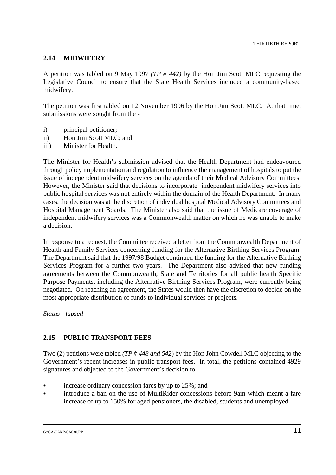## **2.14 MIDWIFERY**

A petition was tabled on 9 May 1997 *(TP # 442)* by the Hon Jim Scott MLC requesting the Legislative Council to ensure that the State Health Services included a community-based midwifery.

The petition was first tabled on 12 November 1996 by the Hon Jim Scott MLC. At that time, submissions were sought from the -

- i) principal petitioner;
- ii) Hon Jim Scott MLC; and
- iii) Minister for Health.

The Minister for Health's submission advised that the Health Department had endeavoured through policy implementation and regulation to influence the management of hospitals to put the issue of independent midwifery services on the agenda of their Medical Advisory Committees. However, the Minister said that decisions to incorporate independent midwifery services into public hospital services was not entirely within the domain of the Health Department. In many cases, the decision was at the discretion of individual hospital Medical Advisory Committees and Hospital Management Boards. The Minister also said that the issue of Medicare coverage of independent midwifery services was a Commonwealth matter on which he was unable to make a decision.

In response to a request, the Committee received a letter from the Commonwealth Department of Health and Family Services concerning funding for the Alternative Birthing Services Program. The Department said that the 1997/98 Budget continued the funding for the Alternative Birthing Services Program for a further two years. The Department also advised that new funding agreements between the Commonwealth, State and Territories for all public health Specific Purpose Payments, including the Alternative Birthing Services Program, were currently being negotiated. On reaching an agreement, the States would then have the discretion to decide on the most appropriate distribution of funds to individual services or projects.

*Status - lapsed*

# **2.15 PUBLIC TRANSPORT FEES**

Two (2) petitions were tabled *(TP # 448 and 542*) by the Hon John Cowdell MLC objecting to the Government's recent increases in public transport fees. In total, the petitions contained 4929 signatures and objected to the Government's decision to -

- increase ordinary concession fares by up to 25%; and
- & introduce a ban on the use of MultiRider concessions before 9am which meant a fare increase of up to 150% for aged pensioners, the disabled, students and unemployed.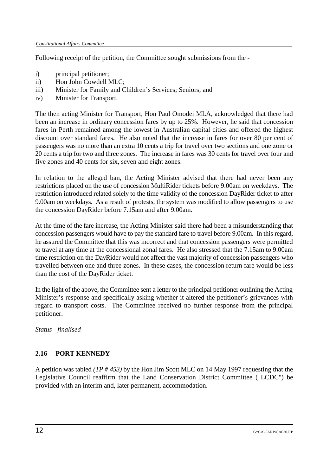Following receipt of the petition, the Committee sought submissions from the -

- i) principal petitioner;
- ii) Hon John Cowdell MLC;
- iii) Minister for Family and Children's Services; Seniors; and
- iv) Minister for Transport.

The then acting Minister for Transport, Hon Paul Omodei MLA, acknowledged that there had been an increase in ordinary concession fares by up to 25%. However, he said that concession fares in Perth remained among the lowest in Australian capital cities and offered the highest discount over standard fares. He also noted that the increase in fares for over 80 per cent of passengers was no more than an extra 10 cents a trip for travel over two sections and one zone or 20 cents a trip for two and three zones. The increase in fares was 30 cents for travel over four and five zones and 40 cents for six, seven and eight zones.

In relation to the alleged ban, the Acting Minister advised that there had never been any restrictions placed on the use of concession MultiRider tickets before 9.00am on weekdays. The restriction introduced related solely to the time validity of the concession DayRider ticket to after 9.00am on weekdays. As a result of protests, the system was modified to allow passengers to use the concession DayRider before 7.15am and after 9.00am.

At the time of the fare increase, the Acting Minister said there had been a misunderstanding that concession passengers would have to pay the standard fare to travel before 9.00am. In this regard, he assured the Committee that this was incorrect and that concession passengers were permitted to travel at any time at the concessional zonal fares. He also stressed that the 7.15am to 9.00am time restriction on the DayRider would not affect the vast majority of concession passengers who travelled between one and three zones. In these cases, the concession return fare would be less than the cost of the DayRider ticket.

In the light of the above, the Committee sent a letter to the principal petitioner outlining the Acting Minister's response and specifically asking whether it altered the petitioner's grievances with regard to transport costs. The Committee received no further response from the principal petitioner.

*Status - finalised*

# **2.16 PORT KENNEDY**

A petition was tabled *(TP # 453)* by the Hon Jim Scott MLC on 14 May 1997 requesting that the Legislative Council reaffirm that the Land Conservation District Committee ( LCDC") be provided with an interim and, later permanent, accommodation.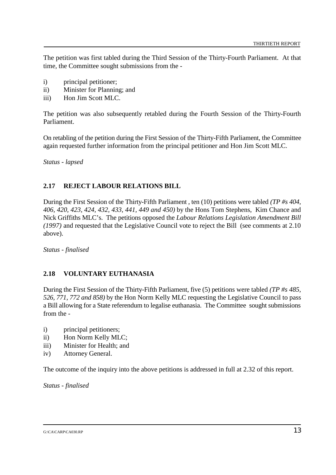The petition was first tabled during the Third Session of the Thirty-Fourth Parliament. At that time, the Committee sought submissions from the -

- i) principal petitioner;
- ii) Minister for Planning; and
- iii) Hon Jim Scott MLC.

The petition was also subsequently retabled during the Fourth Session of the Thirty-Fourth Parliament.

On retabling of the petition during the First Session of the Thirty-Fifth Parliament, the Committee again requested further information from the principal petitioner and Hon Jim Scott MLC.

*Status - lapsed*

#### **2.17 REJECT LABOUR RELATIONS BILL**

During the First Session of the Thirty-Fifth Parliament , ten (10) petitions were tabled *(TP #s 404, 406, 420, 423, 424, 432, 433, 441, 449 and 450)* by the Hons Tom Stephens, Kim Chance and Nick Griffiths MLC's. The petitions opposed the *Labour Relations Legislation Amendment Bill (1997)* and requested that the Legislative Council vote to reject the Bill (see comments at 2.10 above).

*Status - finalised*

#### **2.18 VOLUNTARY EUTHANASIA**

During the First Session of the Thirty-Fifth Parliament, five (5) petitions were tabled *(TP #s 485, 526, 771, 772 and 858)* by the Hon Norm Kelly MLC requesting the Legislative Council to pass a Bill allowing for a State referendum to legalise euthanasia. The Committee sought submissions from the -

- i) principal petitioners;
- ii) Hon Norm Kelly MLC;
- iii) Minister for Health; and
- iv) Attorney General.

The outcome of the inquiry into the above petitions is addressed in full at 2.32 of this report.

*Status - finalised*

#### G:\CA\CARP\CA030.RP  $13$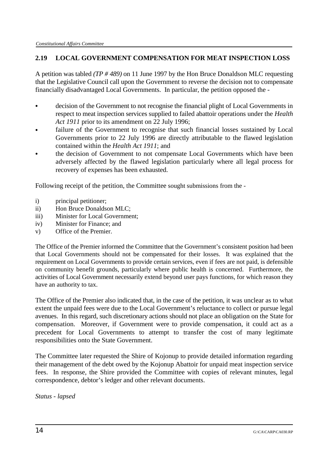# **2.19 LOCAL GOVERNMENT COMPENSATION FOR MEAT INSPECTION LOSS**

A petition was tabled *(TP # 489)* on 11 June 1997 by the Hon Bruce Donaldson MLC requesting that the Legislative Council call upon the Government to reverse the decision not to compensate financially disadvantaged Local Governments. In particular, the petition opposed the -

- & decision of the Government to not recognise the financial plight of Local Governments in respect to meat inspection services supplied to failed abattoir operations under the *Health Act 1911* prior to its amendment on 22 July 1996;
- failure of the Government to recognise that such financial losses sustained by Local Governments prior to 22 July 1996 are directly attributable to the flawed legislation contained within the *Health Act 1911*; and
- the decision of Government to not compensate Local Governments which have been adversely affected by the flawed legislation particularly where all legal process for recovery of expenses has been exhausted.

Following receipt of the petition, the Committee sought submissions from the -

- i) principal petitioner:
- ii) Hon Bruce Donaldson MLC;
- iii) Minister for Local Government;
- iv) Minister for Finance; and
- v) Office of the Premier.

The Office of the Premier informed the Committee that the Government's consistent position had been that Local Governments should not be compensated for their losses. It was explained that the requirement on Local Governments to provide certain services, even if fees are not paid, is defensible on community benefit grounds, particularly where public health is concerned. Furthermore, the activities of Local Government necessarily extend beyond user pays functions, for which reason they have an authority to tax.

The Office of the Premier also indicated that, in the case of the petition, it was unclear as to what extent the unpaid fees were due to the Local Government's reluctance to collect or pursue legal avenues. In this regard, such discretionary actions should not place an obligation on the State for compensation. Moreover, if Government were to provide compensation, it could act as a precedent for Local Governments to attempt to transfer the cost of many legitimate responsibilities onto the State Government.

The Committee later requested the Shire of Kojonup to provide detailed information regarding their management of the debt owed by the Kojonup Abattoir for unpaid meat inspection service fees. In response, the Shire provided the Committee with copies of relevant minutes, legal correspondence, debtor's ledger and other relevant documents.

*Status - lapsed*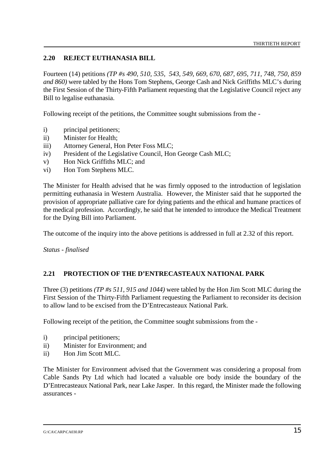## **2.20 REJECT EUTHANASIA BILL**

Fourteen (14) petitions *(TP #s 490, 510, 535, 543, 549, 669, 670, 687, 695, 711, 748, 750, 859 and 860)* were tabled by the Hons Tom Stephens, George Cash and Nick Griffiths MLC's during the First Session of the Thirty-Fifth Parliament requesting that the Legislative Council reject any Bill to legalise euthanasia.

Following receipt of the petitions, the Committee sought submissions from the -

- i) principal petitioners;
- ii) Minister for Health;
- iii) Attorney General, Hon Peter Foss MLC;
- iv) President of the Legislative Council, Hon George Cash MLC;
- v) Hon Nick Griffiths MLC; and
- vi) Hon Tom Stephens MLC.

The Minister for Health advised that he was firmly opposed to the introduction of legislation permitting euthanasia in Western Australia. However, the Minister said that he supported the provision of appropriate palliative care for dying patients and the ethical and humane practices of the medical profession. Accordingly, he said that he intended to introduce the Medical Treatment for the Dying Bill into Parliament.

The outcome of the inquiry into the above petitions is addressed in full at 2.32 of this report.

*Status - finalised*

#### **2.21 PROTECTION OF THE D'ENTRECASTEAUX NATIONAL PARK**

Three (3) petitions *(TP #s 511, 915 and 1044)* were tabled by the Hon Jim Scott MLC during the First Session of the Thirty-Fifth Parliament requesting the Parliament to reconsider its decision to allow land to be excised from the D'Entrecasteaux National Park.

Following receipt of the petition, the Committee sought submissions from the -

- i) principal petitioners;
- ii) Minister for Environment; and
- ii) Hon Jim Scott MLC.

The Minister for Environment advised that the Government was considering a proposal from Cable Sands Pty Ltd which had located a valuable ore body inside the boundary of the D'Entrecasteaux National Park, near Lake Jasper. In this regard, the Minister made the following assurances -

G:\CA\CARP\CA030.RP  $15$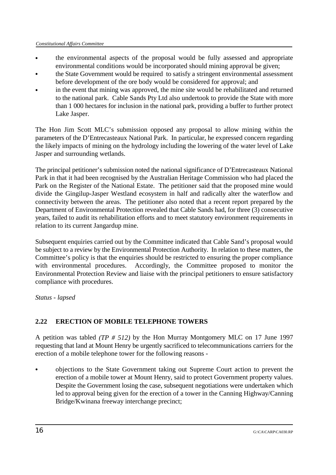- the environmental aspects of the proposal would be fully assessed and appropriate environmental conditions would be incorporated should mining approval be given;
- the State Government would be required to satisfy a stringent environmental assessment before development of the ore body would be considered for approval; and
- in the event that mining was approved, the mine site would be rehabilitated and returned to the national park. Cable Sands Pty Ltd also undertook to provide the State with more than 1 000 hectares for inclusion in the national park, providing a buffer to further protect Lake Jasper.

The Hon Jim Scott MLC's submission opposed any proposal to allow mining within the parameters of the D'Entrecasteaux National Park. In particular, he expressed concern regarding the likely impacts of mining on the hydrology including the lowering of the water level of Lake Jasper and surrounding wetlands.

The principal petitioner's submission noted the national significance of D'Entrecasteaux National Park in that it had been recognised by the Australian Heritage Commission who had placed the Park on the Register of the National Estate. The petitioner said that the proposed mine would divide the Gingilup-Jasper Westland ecosystem in half and radically alter the waterflow and connectivity between the areas. The petitioner also noted that a recent report prepared by the Department of Environmental Protection revealed that Cable Sands had, for three (3) consecutive years, failed to audit its rehabilitation efforts and to meet statutory environment requirements in relation to its current Jangardup mine.

Subsequent enquiries carried out by the Committee indicated that Cable Sand's proposal would be subject to a review by the Environmental Protection Authority. In relation to these matters, the Committee's policy is that the enquiries should be restricted to ensuring the proper compliance with environmental procedures. Accordingly, the Committee proposed to monitor the Environmental Protection Review and liaise with the principal petitioners to ensure satisfactory compliance with procedures.

*Status - lapsed*

# **2.22 ERECTION OF MOBILE TELEPHONE TOWERS**

A petition was tabled *(TP # 512)* by the Hon Murray Montgomery MLC on 17 June 1997 requesting that land at Mount Henry be urgently sacrificed to telecommunications carriers for the erection of a mobile telephone tower for the following reasons -

& objections to the State Government taking out Supreme Court action to prevent the erection of a mobile tower at Mount Henry, said to protect Government property values. Despite the Government losing the case, subsequent negotiations were undertaken which led to approval being given for the erection of a tower in the Canning Highway/Canning Bridge/Kwinana freeway interchange precinct;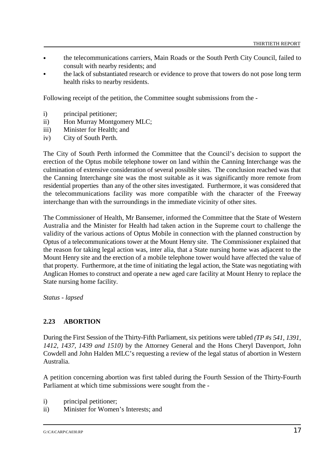- & the telecommunications carriers, Main Roads or the South Perth City Council, failed to consult with nearby residents; and
- the lack of substantiated research or evidence to prove that towers do not pose long term health risks to nearby residents.

Following receipt of the petition, the Committee sought submissions from the -

- i) principal petitioner;
- ii) Hon Murray Montgomery MLC:
- iii) Minister for Health; and
- iv) City of South Perth.

The City of South Perth informed the Committee that the Council's decision to support the erection of the Optus mobile telephone tower on land within the Canning Interchange was the culmination of extensive consideration of several possible sites. The conclusion reached was that the Canning Interchange site was the most suitable as it was significantly more remote from residential properties than any of the other sites investigated. Furthermore, it was considered that the telecommunications facility was more compatible with the character of the Freeway interchange than with the surroundings in the immediate vicinity of other sites.

The Commissioner of Health, Mr Bansemer, informed the Committee that the State of Western Australia and the Minister for Health had taken action in the Supreme court to challenge the validity of the various actions of Optus Mobile in connection with the planned construction by Optus of a telecommunications tower at the Mount Henry site. The Commissioner explained that the reason for taking legal action was, inter alia, that a State nursing home was adjacent to the Mount Henry site and the erection of a mobile telephone tower would have affected the value of that property. Furthermore, at the time of initiating the legal action, the State was negotiating with Anglican Homes to construct and operate a new aged care facility at Mount Henry to replace the State nursing home facility.

*Status - lapsed*

#### **2.23 ABORTION**

During the First Session of the Thirty-Fifth Parliament, six petitions were tabled *(TP #s 541, 1391, 1412, 1437, 1439 and 1510)* by the Attorney General and the Hons Cheryl Davenport, John Cowdell and John Halden MLC's requesting a review of the legal status of abortion in Western Australia.

A petition concerning abortion was first tabled during the Fourth Session of the Thirty-Fourth Parliament at which time submissions were sought from the -

- i) principal petitioner;
- ii) Minister for Women's Interests; and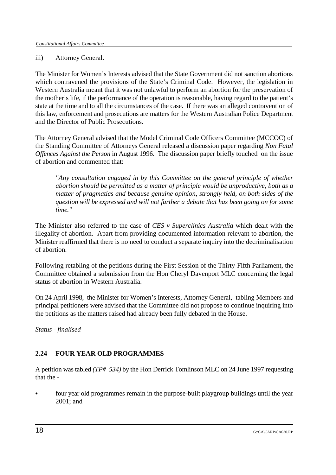#### iii) Attorney General.

The Minister for Women's Interests advised that the State Government did not sanction abortions which contravened the provisions of the State's Criminal Code. However, the legislation in Western Australia meant that it was not unlawful to perform an abortion for the preservation of the mother's life, if the performance of the operation is reasonable, having regard to the patient's state at the time and to all the circumstances of the case. If there was an alleged contravention of this law, enforcement and prosecutions are matters for the Western Australian Police Department and the Director of Public Prosecutions.

The Attorney General advised that the Model Criminal Code Officers Committee (MCCOC) of the Standing Committee of Attorneys General released a discussion paper regarding *Non Fatal Offences Against the Person* in August 1996. The discussion paper briefly touched on the issue of abortion and commented that:

*"Any consultation engaged in by this Committee on the general principle of whether abortion should be permitted as a matter of principle would be unproductive, both as a matter of pragmatics and because genuine opinion, strongly held, on both sides of the question will be expressed and will not further a debate that has been going on for some time."*

The Minister also referred to the case of *CES v Superclinics Australia* which dealt with the illegality of abortion. Apart from providing documented information relevant to abortion, the Minister reaffirmed that there is no need to conduct a separate inquiry into the decriminalisation of abortion.

Following retabling of the petitions during the First Session of the Thirty-Fifth Parliament, the Committee obtained a submission from the Hon Cheryl Davenport MLC concerning the legal status of abortion in Western Australia.

On 24 April 1998, the Minister for Women's Interests, Attorney General, tabling Members and principal petitioners were advised that the Committee did not propose to continue inquiring into the petitions as the matters raised had already been fully debated in the House.

*Status - finalised*

# **2.24 FOUR YEAR OLD PROGRAMMES**

A petition was tabled *(TP# 534)* by the Hon Derrick Tomlinson MLC on 24 June 1997 requesting that the -

& four year old programmes remain in the purpose-built playgroup buildings until the year 2001; and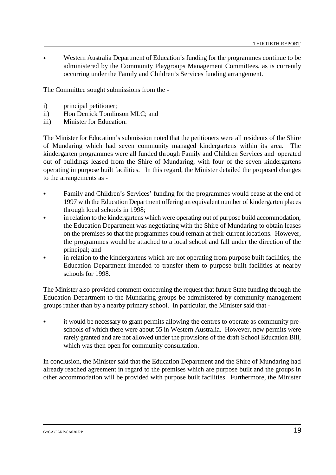Western Australia Department of Education's funding for the programmes continue to be administered by the Community Playgroups Management Committees, as is currently occurring under the Family and Children's Services funding arrangement.

The Committee sought submissions from the -

- i) principal petitioner;
- ii) Hon Derrick Tomlinson MLC; and
- iii) Minister for Education.

The Minister for Education's submission noted that the petitioners were all residents of the Shire of Mundaring which had seven community managed kindergartens within its area. The kindergarten programmes were all funded through Family and Children Services and operated out of buildings leased from the Shire of Mundaring, with four of the seven kindergartens operating in purpose built facilities. In this regard, the Minister detailed the proposed changes to the arrangements as -

- & Family and Children's Services' funding for the programmes would cease at the end of 1997 with the Education Department offering an equivalent number of kindergarten places through local schools in 1998;
- in relation to the kindergartens which were operating out of purpose build accommodation, the Education Department was negotiating with the Shire of Mundaring to obtain leases on the premises so that the programmes could remain at their current locations. However, the programmes would be attached to a local school and fall under the direction of the principal; and
- in relation to the kindergartens which are not operating from purpose built facilities, the Education Department intended to transfer them to purpose built facilities at nearby schools for 1998.

The Minister also provided comment concerning the request that future State funding through the Education Department to the Mundaring groups be administered by community management groups rather than by a nearby primary school. In particular, the Minister said that -

& it would be necessary to grant permits allowing the centres to operate as community preschools of which there were about 55 in Western Australia. However, new permits were rarely granted and are not allowed under the provisions of the draft School Education Bill, which was then open for community consultation.

In conclusion, the Minister said that the Education Department and the Shire of Mundaring had already reached agreement in regard to the premises which are purpose built and the groups in other accommodation will be provided with purpose built facilities. Furthermore, the Minister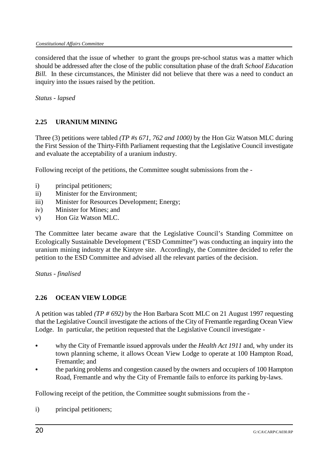considered that the issue of whether to grant the groups pre-school status was a matter which should be addressed after the close of the public consultation phase of the draft *School Education Bill.* In these circumstances, the Minister did not believe that there was a need to conduct an inquiry into the issues raised by the petition.

*Status - lapsed*

# **2.25 URANIUM MINING**

Three (3) petitions were tabled *(TP #s 671, 762 and 1000)* by the Hon Giz Watson MLC during the First Session of the Thirty-Fifth Parliament requesting that the Legislative Council investigate and evaluate the acceptability of a uranium industry.

Following receipt of the petitions, the Committee sought submissions from the -

- i) principal petitioners:
- ii) Minister for the Environment;
- iii) Minister for Resources Development; Energy;
- iv) Minister for Mines; and
- v) Hon Giz Watson MLC.

The Committee later became aware that the Legislative Council's Standing Committee on Ecologically Sustainable Development ("ESD Committee") was conducting an inquiry into the uranium mining industry at the Kintyre site. Accordingly, the Committee decided to refer the petition to the ESD Committee and advised all the relevant parties of the decision.

*Status - finalised*

#### **2.26 OCEAN VIEW LODGE**

A petition was tabled *(TP # 692)* by the Hon Barbara Scott MLC on 21 August 1997 requesting that the Legislative Council investigate the actions of the City of Fremantle regarding Ocean View Lodge. In particular, the petition requested that the Legislative Council investigate -

- & why the City of Fremantle issued approvals under the *Health Act 1911* and, why under its town planning scheme, it allows Ocean View Lodge to operate at 100 Hampton Road, Fremantle; and
- the parking problems and congestion caused by the owners and occupiers of 100 Hampton Road, Fremantle and why the City of Fremantle fails to enforce its parking by-laws.

Following receipt of the petition, the Committee sought submissions from the -

i) principal petitioners;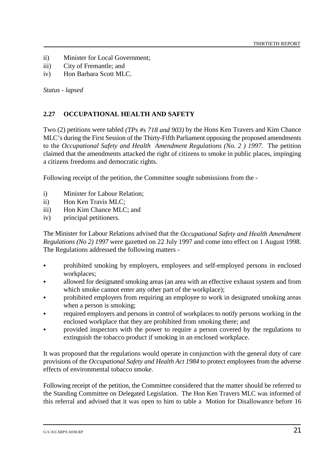- ii) Minister for Local Government;
- iii) City of Fremantle; and
- iv) Hon Barbara Scott MLC.

*Status - lapsed*

## **2.27 OCCUPATIONAL HEALTH AND SAFETY**

Two (2) petitions were tabled *(TPs #s 718 and 903)* by the Hons Ken Travers and Kim Chance MLC's during the First Session of the Thirty-Fifth Parliament opposing the proposed amendments to the *Occupational Safety and Health Amendment Regulations (No. 2 ) 1997.* The petition claimed that the amendments attacked the right of citizens to smoke in public places, impinging a citizens freedoms and democratic rights.

Following receipt of the petition, the Committee sought submissions from the -

- i) Minister for Labour Relation;
- ii) Hon Ken Travis MLC;
- iii) Hon Kim Chance MLC; and
- iv) principal petitioners.

The Minister for Labour Relations advised that the *Occupational Safety and Health Amendment Regulations (No 2) 1997* were gazetted on 22 July 1997 and come into effect on 1 August 1998. The Regulations addressed the following matters -

- prohibited smoking by employers, employees and self-employed persons in enclosed workplaces;
- & allowed for designated smoking areas (an area with an effective exhaust system and from which smoke cannot enter any other part of the workplace);
- & prohibited employers from requiring an employee to work in designated smoking areas when a person is smoking;
- required employers and persons in control of workplaces to notify persons working in the enclosed workplace that they are prohibited from smoking there; and
- & provided inspectors with the power to require a person covered by the regulations to extinguish the tobacco product if smoking in an enclosed workplace.

It was proposed that the regulations would operate in conjunction with the general duty of care provisions of the *Occupational Safety and Health Act 1984* to protect employees from the adverse effects of environmental tobacco smoke.

Following receipt of the petition, the Committee considered that the matter should be referred to the Standing Committee on Delegated Legislation. The Hon Ken Travers MLC was informed of this referral and advised that it was open to him to table a Motion for Disallowance before 16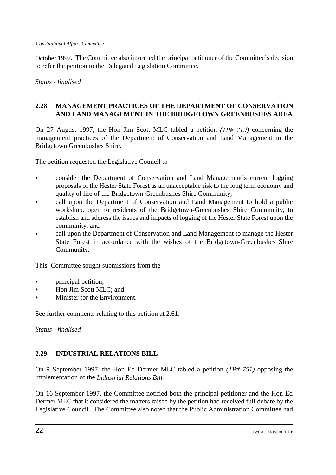October 1997. The Committee also informed the principal petitioner of the Committee's decision to refer the petition to the Delegated Legislation Committee.

*Status - finalised*

# **2.28 MANAGEMENT PRACTICES OF THE DEPARTMENT OF CONSERVATION AND LAND MANAGEMENT IN THE BRIDGETOWN GREENBUSHES AREA**

On 27 August 1997, the Hon Jim Scott MLC tabled a petition *(TP# 719)* concerning the management practices of the Department of Conservation and Land Management in the Bridgetown Greenbushes Shire.

The petition requested the Legislative Council to -

- & consider the Department of Conservation and Land Management's current logging proposals of the Hester State Forest as an unacceptable risk to the long term economy and quality of life of the Bridgetown-Greenbushes Shire Community;
- call upon the Department of Conservation and Land Management to hold a public workshop, open to residents of the Bridgetown-Greenbushes Shire Community, to establish and address the issues and impacts of logging of the Hester State Forest upon the community; and
- call upon the Department of Conservation and Land Management to manage the Hester State Forest in accordance with the wishes of the Bridgetown-Greenbushes Shire Community.

This Committee sought submissions from the -

- & principal petition;
- & Hon Jim Scott MLC; and
- Minister for the Environment.

See further comments relating to this petition at 2.61.

*Status - finalised*

# **2.29 INDUSTRIAL RELATIONS BILL**

On 9 September 1997, the Hon Ed Dermer MLC tabled a petition *(TP# 751)* opposing the implementation of the *Industrial Relations Bill*.

On 16 September 1997, the Committee notified both the principal petitioner and the Hon Ed Dermer MLC that it considered the matters raised by the petition had received full debate by the Legislative Council. The Committee also noted that the Public Administration Committee had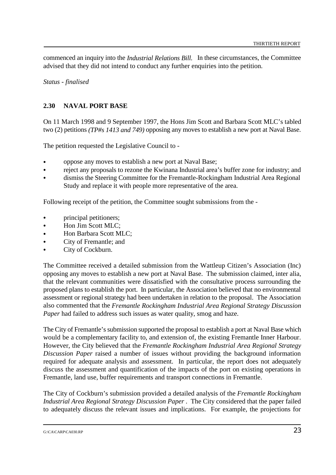commenced an inquiry into the *Industrial Relations Bill.* In these circumstances, the Committee advised that they did not intend to conduct any further enquiries into the petition.

*Status - finalised*

## **2.30 NAVAL PORT BASE**

On 11 March 1998 and 9 September 1997, the Hons Jim Scott and Barbara Scott MLC's tabled two (2) petitions *(TP#s 1413 and 749)* opposing any moves to establish a new port at Naval Base.

The petition requested the Legislative Council to -

- & oppose any moves to establish a new port at Naval Base;
- & reject any proposals to rezone the Kwinana Industrial area's buffer zone for industry; and
- & dismiss the Steering Committee for the Fremantle-Rockingham Industrial Area Regional Study and replace it with people more representative of the area.

Following receipt of the petition, the Committee sought submissions from the -

- principal petitioners;
- & Hon Jim Scott MLC;
- Hon Barbara Scott MLC:
- City of Fremantle; and
- City of Cockburn.

The Committee received a detailed submission from the Wattleup Citizen's Association (Inc) opposing any moves to establish a new port at Naval Base. The submission claimed, inter alia, that the relevant communities were dissatisfied with the consultative process surrounding the proposed plans to establish the port. In particular, the Association believed that no environmental assessment or regional strategy had been undertaken in relation to the proposal. The Association also commented that the *Fremantle Rockingham Industrial Area Regional Strategy Discussion Paper* had failed to address such issues as water quality, smog and haze.

The City of Fremantle's submission supported the proposal to establish a port at Naval Base which would be a complementary facility to, and extension of, the existing Fremantle Inner Harbour. However, the City believed that the *Fremantle Rockingham Industrial Area Regional Strategy Discussion Paper* raised a number of issues without providing the background information required for adequate analysis and assessment. In particular, the report does not adequately discuss the assessment and quantification of the impacts of the port on existing operations in Fremantle, land use, buffer requirements and transport connections in Fremantle.

The City of Cockburn's submission provided a detailed analysis of the *Fremantle Rockingham Industrial Area Regional Strategy Discussion Paper* . The City considered that the paper failed to adequately discuss the relevant issues and implications. For example, the projections for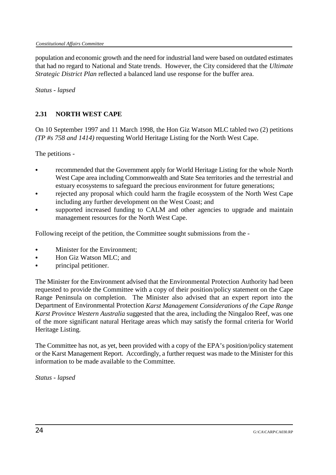population and economic growth and the need for industrial land were based on outdated estimates that had no regard to National and State trends. However, the City considered that the *Ultimate Strategic District Plan* reflected a balanced land use response for the buffer area.

*Status - lapsed*

# **2.31 NORTH WEST CAPE**

On 10 September 1997 and 11 March 1998, the Hon Giz Watson MLC tabled two (2) petitions *(TP #s 758 and 1414)* requesting World Heritage Listing for the North West Cape.

The petitions -

- recommended that the Government apply for World Heritage Listing for the whole North West Cape area including Commonwealth and State Sea territories and the terrestrial and estuary ecosystems to safeguard the precious environment for future generations;
- rejected any proposal which could harm the fragile ecosystem of the North West Cape including any further development on the West Coast; and
- supported increased funding to CALM and other agencies to upgrade and maintain management resources for the North West Cape.

Following receipt of the petition, the Committee sought submissions from the -

- Minister for the Environment:
- & Hon Giz Watson MLC; and
- principal petitioner.

The Minister for the Environment advised that the Environmental Protection Authority had been requested to provide the Committee with a copy of their position/policy statement on the Cape Range Peninsula on completion. The Minister also advised that an expert report into the Department of Environmental Protection *Karst Management Considerations of the Cape Range Karst Province Western Australia* suggested that the area, including the Ningaloo Reef, was one of the more significant natural Heritage areas which may satisfy the formal criteria for World Heritage Listing.

The Committee has not, as yet, been provided with a copy of the EPA's position/policy statement or the Karst Management Report. Accordingly, a further request was made to the Minister for this information to be made available to the Committee.

*Status - lapsed*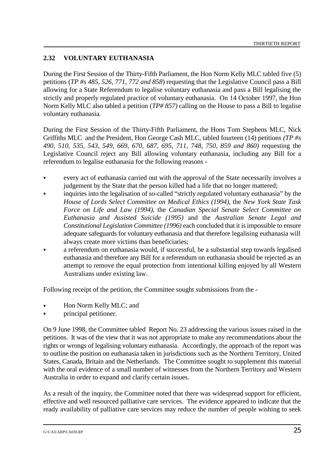# **2.32 VOLUNTARY EUTHANASIA**

During the First Session of the Thirty-Fifth Parliament, the Hon Norm Kelly MLC tabled five (5) petitions (*TP #s 485, 526, 771, 772 and 858*) requesting that the Legislative Council pass a Bill allowing for a State Referendum to legalise voluntary euthanasia and pass a Bill legalising the strictly and properly regulated practice of voluntary euthanasia. On 14 October 1997, the Hon Norm Kelly MLC also tabled a petition (*TP# 857)* calling on the House to pass a Bill to legalise voluntary euthanasia*.*

During the First Session of the Thirty-Fifth Parliament, the Hons Tom Stephens MLC, Nick Griffiths MLC and the President, Hon George Cash MLC, tabled fourteen (14) petitions *(TP #s 490, 510, 535, 543, 549, 669, 670, 687, 695, 711, 748, 750, 859 and 860)* requesting the Legislative Council reject any Bill allowing voluntary euthanasia, including any Bill for a referendum to legalise euthanasia for the following reasons -

- & every act of euthanasia carried out with the approval of the State necessarily involves a judgement by the State that the person killed had a life that no longer mattered;
- & inquiries into the legalisation of so-called "strictly regulated voluntary euthanasia" by the *House of Lords Select Committee on Medical Ethics (1994)*, the *New York State Task Force on Life and Law (1994)*, the *Canadian Special Senate Select Committee on Euthanasia and Assisted Suicide (1995)* and the *Australian Senate Legal and Constitutional Legislation Committee (1996)* each concluded that it is impossible to ensure adequate safeguards for voluntary euthanasia and that therefore legalising euthanasia will always create more victims than beneficiaries;
- & a referendum on euthanasia would, if successful, be a substantial step towards legalised euthanasia and therefore any Bill for a referendum on euthanasia should be rejected as an attempt to remove the equal protection from intentional killing enjoyed by all Western Australians under existing law.

Following receipt of the petition, the Committee sought submissions from the -

- Hon Norm Kelly MLC; and
- & principal petitioner.

On 9 June 1998, the Committee tabled Report No. 23 addressing the various issues raised in the petitions. It was of the view that it was not appropriate to make any recommendations about the rights or wrongs of legalising voluntary euthanasia. Accordingly, the approach of the report was to outline the position on euthanasia taken in jurisdictions such as the Northern Territory, United States, Canada, Britain and the Netherlands. The Committee sought to supplement this material with the oral evidence of a small number of witnesses from the Northern Territory and Western Australia in order to expand and clarify certain issues.

As a result of the inquiry, the Committee noted that there was widespread support for efficient, effective and well resourced palliative care services. The evidence appeared to indicate that the ready availability of palliative care services may reduce the number of people wishing to seek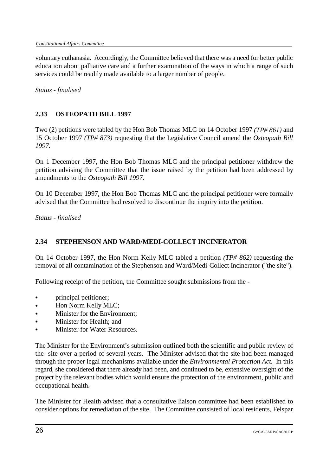voluntary euthanasia. Accordingly, the Committee believed that there was a need for better public education about palliative care and a further examination of the ways in which a range of such services could be readily made available to a larger number of people.

*Status - finalised*

# **2.33 OSTEOPATH BILL 1997**

Two (2) petitions were tabled by the Hon Bob Thomas MLC on 14 October 1997 *(TP# 861)* and 15 October 1997 *(TP# 873)* requesting that the Legislative Council amend the *Osteopath Bill 1997.*

On 1 December 1997, the Hon Bob Thomas MLC and the principal petitioner withdrew the petition advising the Committee that the issue raised by the petition had been addressed by amendments to the *Osteopath Bill 1997.* 

On 10 December 1997, the Hon Bob Thomas MLC and the principal petitioner were formally advised that the Committee had resolved to discontinue the inquiry into the petition.

*Status - finalised*

# **2.34 STEPHENSON AND WARD/MEDI-COLLECT INCINERATOR**

On 14 October 1997, the Hon Norm Kelly MLC tabled a petition *(TP# 862)* requesting the removal of all contamination of the Stephenson and Ward/Medi-Collect Incinerator ("the site").

Following receipt of the petition, the Committee sought submissions from the -

- principal petitioner;
- Hon Norm Kelly MLC;
- & Minister for the Environment;
- & Minister for Health; and
- Minister for Water Resources.

The Minister for the Environment's submission outlined both the scientific and public review of the site over a period of several years. The Minister advised that the site had been managed through the proper legal mechanisms available under the *Environmental Protection Act.* In this regard, she considered that there already had been, and continued to be, extensive oversight of the project by the relevant bodies which would ensure the protection of the environment, public and occupational health.

The Minister for Health advised that a consultative liaison committee had been established to consider options for remediation of the site. The Committee consisted of local residents, Felspar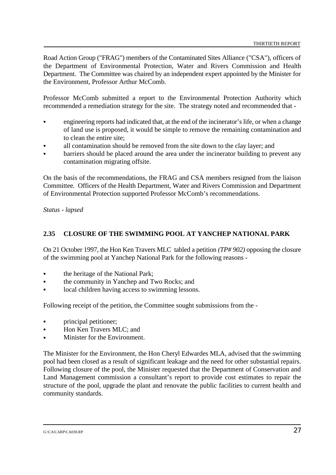Road Action Group ("FRAG") members of the Contaminated Sites Alliance ("CSA"), officers of the Department of Environmental Protection, Water and Rivers Commission and Health Department. The Committee was chaired by an independent expert appointed by the Minister for the Environment, Professor Arthur McComb.

Professor McComb submitted a report to the Environmental Protection Authority which recommended a remediation strategy for the site. The strategy noted and recommended that -

- & engineering reports had indicated that, at the end of the incinerator's life, or when a change of land use is proposed, it would be simple to remove the remaining contamination and to clean the entire site;
- all contamination should be removed from the site down to the clay layer; and
- barriers should be placed around the area under the incinerator building to prevent any contamination migrating offsite.

On the basis of the recommendations, the FRAG and CSA members resigned from the liaison Committee. Officers of the Health Department, Water and Rivers Commission and Department of Environmental Protection supported Professor McComb's recommendations.

*Status - lapsed*

## **2.35 CLOSURE OF THE SWIMMING POOL AT YANCHEP NATIONAL PARK**

On 21 October 1997, the Hon Ken Travers MLC tabled a petition *(TP# 902)* opposing the closure of the swimming pool at Yanchep National Park for the following reasons -

- the heritage of the National Park;
- the community in Yanchep and Two Rocks; and
- local children having access to swimming lessons.

Following receipt of the petition, the Committee sought submissions from the -

- principal petitioner;
- Hon Ken Travers MLC: and
- Minister for the Environment.

The Minister for the Environment, the Hon Cheryl Edwardes MLA, advised that the swimming pool had been closed as a result of significant leakage and the need for other substantial repairs. Following closure of the pool, the Minister requested that the Department of Conservation and Land Management commission a consultant's report to provide cost estimates to repair the structure of the pool, upgrade the plant and renovate the public facilities to current health and community standards.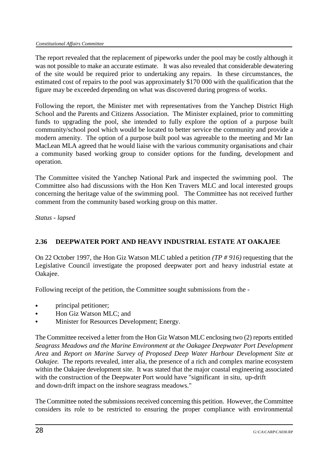The report revealed that the replacement of pipeworks under the pool may be costly although it was not possible to make an accurate estimate. It was also revealed that considerable dewatering of the site would be required prior to undertaking any repairs. In these circumstances, the estimated cost of repairs to the pool was approximately \$170 000 with the qualification that the figure may be exceeded depending on what was discovered during progress of works.

Following the report, the Minister met with representatives from the Yanchep District High School and the Parents and Citizens Association. The Minister explained, prior to committing funds to upgrading the pool, she intended to fully explore the option of a purpose built community/school pool which would be located to better service the community and provide a modern amenity. The option of a purpose built pool was agreeable to the meeting and Mr Ian MacLean MLA agreed that he would liaise with the various community organisations and chair a community based working group to consider options for the funding, development and operation.

The Committee visited the Yanchep National Park and inspected the swimming pool. The Committee also had discussions with the Hon Ken Travers MLC and local interested groups concerning the heritage value of the swimming pool. The Committee has not received further comment from the community based working group on this matter.

*Status - lapsed*

# **2.36 DEEPWATER PORT AND HEAVY INDUSTRIAL ESTATE AT OAKAJEE**

On 22 October 1997, the Hon Giz Watson MLC tabled a petition *(TP # 916)* requesting that the Legislative Council investigate the proposed deepwater port and heavy industrial estate at Oakajee.

Following receipt of the petition, the Committee sought submissions from the -

- & principal petitioner;
- & Hon Giz Watson MLC; and
- Minister for Resources Development; Energy.

The Committee received a letter from the Hon Giz Watson MLC enclosing two (2) reports entitled *Seagrass Meadows and the Marine Environment at the Oakagee Deepwater Port Development Area* and *Report on Marine Survey of Proposed Deep Water Harbour Development Site at Oakajee.* The reports revealed, inter alia, the presence of a rich and complex marine ecosystem within the Oakajee development site. It was stated that the major coastal engineering associated with the construction of the Deepwater Port would have "significant in situ, up-drift and down-drift impact on the inshore seagrass meadows."

The Committee noted the submissions received concerning this petition. However, the Committee considers its role to be restricted to ensuring the proper compliance with environmental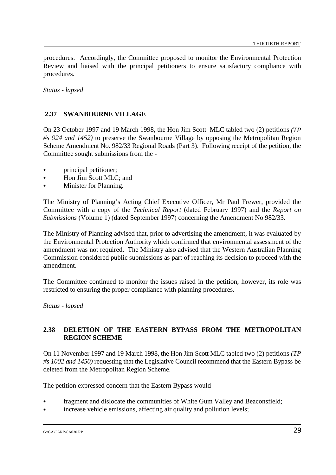procedures. Accordingly, the Committee proposed to monitor the Environmental Protection Review and liaised with the principal petitioners to ensure satisfactory compliance with procedures.

*Status - lapsed*

#### **2.37 SWANBOURNE VILLAGE**

On 23 October 1997 and 19 March 1998, the Hon Jim Scott MLC tabled two (2) petitions *(TP #s 924 and 1452)* to preserve the Swanbourne Village by opposing the Metropolitan Region Scheme Amendment No. 982/33 Regional Roads (Part 3). Following receipt of the petition, the Committee sought submissions from the -

- principal petitioner;
- Hon Jim Scott MLC: and
- Minister for Planning.

The Ministry of Planning's Acting Chief Executive Officer, Mr Paul Frewer, provided the Committee with a copy of the *Technical Report* (dated February 1997) and the *Report on Submissions* (Volume 1) (dated September 1997) concerning the Amendment No 982/33.

The Ministry of Planning advised that, prior to advertising the amendment, it was evaluated by the Environmental Protection Authority which confirmed that environmental assessment of the amendment was not required. The Ministry also advised that the Western Australian Planning Commission considered public submissions as part of reaching its decision to proceed with the amendment.

The Committee continued to monitor the issues raised in the petition, however, its role was restricted to ensuring the proper compliance with planning procedures.

*Status - lapsed*

## **2.38 DELETION OF THE EASTERN BYPASS FROM THE METROPOLITAN REGION SCHEME**

On 11 November 1997 and 19 March 1998, the Hon Jim Scott MLC tabled two (2) petitions *(TP #s 1002 and 1450)* requesting that the Legislative Council recommend that the Eastern Bypass be deleted from the Metropolitan Region Scheme.

The petition expressed concern that the Eastern Bypass would -

- fragment and dislocate the communities of White Gum Valley and Beaconsfield;
- increase vehicle emissions, affecting air quality and pollution levels;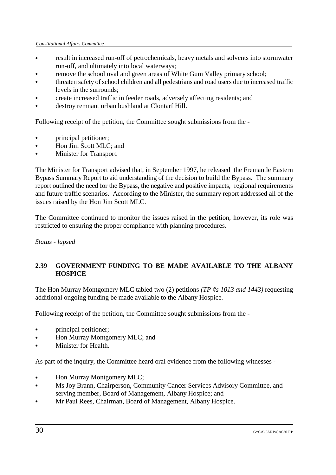- & result in increased run-off of petrochemicals, heavy metals and solvents into stormwater run-off, and ultimately into local waterways;
- remove the school oval and green areas of White Gum Valley primary school;
- & threaten safety of school children and all pedestrians and road users due to increased traffic levels in the surrounds;
- & create increased traffic in feeder roads, adversely affecting residents; and
- destroy remnant urban bushland at Clontarf Hill.

Following receipt of the petition, the Committee sought submissions from the -

- principal petitioner;
- Hon Jim Scott MLC; and
- Minister for Transport.

The Minister for Transport advised that, in September 1997, he released the Fremantle Eastern Bypass Summary Report to aid understanding of the decision to build the Bypass. The summary report outlined the need for the Bypass, the negative and positive impacts, regional requirements and future traffic scenarios. According to the Minister, the summary report addressed all of the issues raised by the Hon Jim Scott MLC.

The Committee continued to monitor the issues raised in the petition, however, its role was restricted to ensuring the proper compliance with planning procedures.

*Status - lapsed*

# **2.39 GOVERNMENT FUNDING TO BE MADE AVAILABLE TO THE ALBANY HOSPICE**

The Hon Murray Montgomery MLC tabled two (2) petitions *(TP #s 1013 and 1443)* requesting additional ongoing funding be made available to the Albany Hospice.

Following receipt of the petition, the Committee sought submissions from the -

- principal petitioner;
- Hon Murray Montgomery MLC; and
- & Minister for Health.

As part of the inquiry, the Committee heard oral evidence from the following witnesses -

- & Hon Murray Montgomery MLC;
- & Ms Joy Brann, Chairperson, Community Cancer Services Advisory Committee, and serving member, Board of Management, Albany Hospice; and
- & Mr Paul Rees, Chairman, Board of Management, Albany Hospice.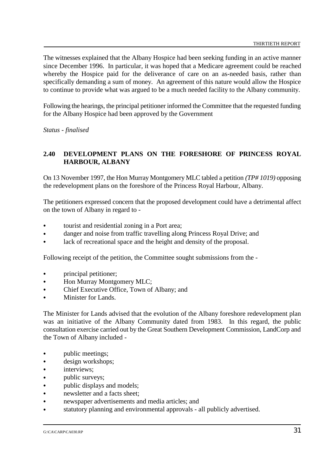The witnesses explained that the Albany Hospice had been seeking funding in an active manner since December 1996. In particular, it was hoped that a Medicare agreement could be reached whereby the Hospice paid for the deliverance of care on an as-needed basis, rather than specifically demanding a sum of money. An agreement of this nature would allow the Hospice to continue to provide what was argued to be a much needed facility to the Albany community.

Following the hearings, the principal petitioner informed the Committee that the requested funding for the Albany Hospice had been approved by the Government

*Status - finalised*

#### **2.40 DEVELOPMENT PLANS ON THE FORESHORE OF PRINCESS ROYAL HARBOUR, ALBANY**

On 13 November 1997, the Hon Murray Montgomery MLC tabled a petition *(TP# 1019)* opposing the redevelopment plans on the foreshore of the Princess Royal Harbour, Albany.

The petitioners expressed concern that the proposed development could have a detrimental affect on the town of Albany in regard to -

- tourist and residential zoning in a Port area;
- danger and noise from traffic travelling along Princess Royal Drive; and
- lack of recreational space and the height and density of the proposal.

Following receipt of the petition, the Committee sought submissions from the -

- principal petitioner;
- Hon Murray Montgomery MLC;
- Chief Executive Office, Town of Albany; and
- Minister for Lands.

The Minister for Lands advised that the evolution of the Albany foreshore redevelopment plan was an initiative of the Albany Community dated from 1983. In this regard, the public consultation exercise carried out by the Great Southern Development Commission, LandCorp and the Town of Albany included -

- & public meetings;
- design workshops;
- interviews:
- & public surveys;
- & public displays and models;
- newsletter and a facts sheet:
- newspaper advertisements and media articles; and
- statutory planning and environmental approvals all publicly advertised.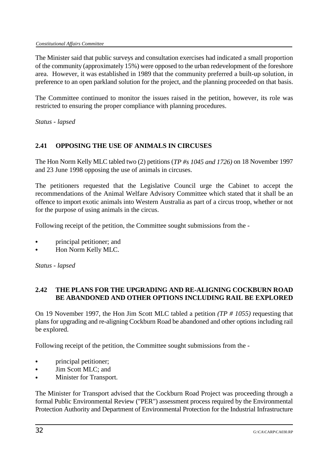The Minister said that public surveys and consultation exercises had indicated a small proportion of the community (approximately 15%) were opposed to the urban redevelopment of the foreshore area. However, it was established in 1989 that the community preferred a built-up solution, in preference to an open parkland solution for the project, and the planning proceeded on that basis.

The Committee continued to monitor the issues raised in the petition, however, its role was restricted to ensuring the proper compliance with planning procedures.

*Status - lapsed*

# **2.41 OPPOSING THE USE OF ANIMALS IN CIRCUSES**

The Hon Norm Kelly MLC tabled two (2) petitions (*TP #s 1045 and 1726)* on 18 November 1997 and 23 June 1998 opposing the use of animals in circuses.

The petitioners requested that the Legislative Council urge the Cabinet to accept the recommendations of the Animal Welfare Advisory Committee which stated that it shall be an offence to import exotic animals into Western Australia as part of a circus troop, whether or not for the purpose of using animals in the circus.

Following receipt of the petition, the Committee sought submissions from the -

- & principal petitioner; and
- & Hon Norm Kelly MLC.

*Status - lapsed*

## **2.42 THE PLANS FOR THE UPGRADING AND RE-ALIGNING COCKBURN ROAD BE ABANDONED AND OTHER OPTIONS INCLUDING RAIL BE EXPLORED**

On 19 November 1997, the Hon Jim Scott MLC tabled a petition *(TP # 1055)* requesting that plans for upgrading and re-aligning Cockburn Road be abandoned and other options including rail be explored.

Following receipt of the petition, the Committee sought submissions from the -

- principal petitioner;
- Jim Scott MLC; and
- & Minister for Transport.

The Minister for Transport advised that the Cockburn Road Project was proceeding through a formal Public Environmental Review ("PER") assessment process required by the Environmental Protection Authority and Department of Environmental Protection for the Industrial Infrastructure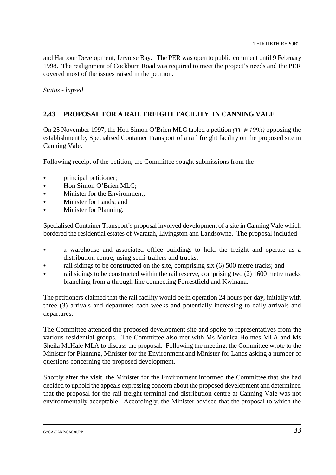and Harbour Development, Jervoise Bay. The PER was open to public comment until 9 February 1998. The realignment of Cockburn Road was required to meet the project's needs and the PER covered most of the issues raised in the petition.

*Status - lapsed*

# **2.43 PROPOSAL FOR A RAIL FREIGHT FACILITY IN CANNING VALE**

On 25 November 1997, the Hon Simon O'Brien MLC tabled a petition *(TP # 1093)* opposing the establishment by Specialised Container Transport of a rail freight facility on the proposed site in Canning Vale.

Following receipt of the petition, the Committee sought submissions from the -

- principal petitioner;
- Hon Simon O'Brien MLC:
- Minister for the Environment:
- Minister for Lands; and
- Minister for Planning.

Specialised Container Transport's proposal involved development of a site in Canning Vale which bordered the residential estates of Waratah, Livingston and Landsowne. The proposal included -

- & a warehouse and associated office buildings to hold the freight and operate as a distribution centre, using semi-trailers and trucks;
- rail sidings to be constructed on the site, comprising six (6) 500 metre tracks; and
- rail sidings to be constructed within the rail reserve, comprising two (2) 1600 metre tracks branching from a through line connecting Forrestfield and Kwinana.

The petitioners claimed that the rail facility would be in operation 24 hours per day, initially with three (3) arrivals and departures each weeks and potentially increasing to daily arrivals and departures.

The Committee attended the proposed development site and spoke to representatives from the various residential groups. The Committee also met with Ms Monica Holmes MLA and Ms Sheila McHale MLA to discuss the proposal. Following the meeting, the Committee wrote to the Minister for Planning, Minister for the Environment and Minister for Lands asking a number of questions concerning the proposed development.

Shortly after the visit, the Minister for the Environment informed the Committee that she had decided to uphold the appeals expressing concern about the proposed development and determined that the proposal for the rail freight terminal and distribution centre at Canning Vale was not environmentally acceptable. Accordingly, the Minister advised that the proposal to which the

G:\CA\CARP\CA030.RP  $33$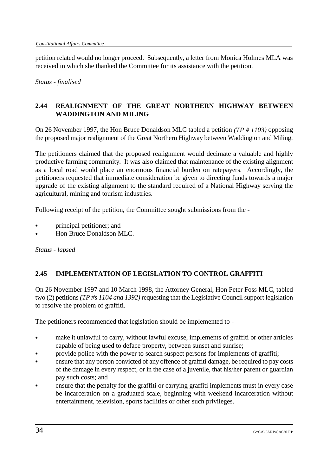petition related would no longer proceed. Subsequently, a letter from Monica Holmes MLA was received in which she thanked the Committee for its assistance with the petition.

*Status - finalised*

# **2.44 REALIGNMENT OF THE GREAT NORTHERN HIGHWAY BETWEEN WADDINGTON AND MILING**

On 26 November 1997, the Hon Bruce Donaldson MLC tabled a petition *(TP # 1103)* opposing the proposed major realignment of the Great Northern Highway between Waddington and Miling.

The petitioners claimed that the proposed realignment would decimate a valuable and highly productive farming community. It was also claimed that maintenance of the existing alignment as a local road would place an enormous financial burden on ratepayers. Accordingly, the petitioners requested that immediate consideration be given to directing funds towards a major upgrade of the existing alignment to the standard required of a National Highway serving the agricultural, mining and tourism industries.

Following receipt of the petition, the Committee sought submissions from the -

- & principal petitioner; and
- Hon Bruce Donaldson MLC.

*Status - lapsed*

# **2.45 IMPLEMENTATION OF LEGISLATION TO CONTROL GRAFFITI**

On 26 November 1997 and 10 March 1998, the Attorney General, Hon Peter Foss MLC, tabled two (2) petitions *(TP #s 1104 and 1392)* requesting that the Legislative Council support legislation to resolve the problem of graffiti.

The petitioners recommended that legislation should be implemented to -

- make it unlawful to carry, without lawful excuse, implements of graffiti or other articles capable of being used to deface property, between sunset and sunrise;
- provide police with the power to search suspect persons for implements of graffiti;
- ensure that any person convicted of any offence of graffiti damage, be required to pay costs of the damage in every respect, or in the case of a juvenile, that his/her parent or guardian pay such costs; and
- & ensure that the penalty for the graffiti or carrying graffiti implements must in every case be incarceration on a graduated scale, beginning with weekend incarceration without entertainment, television, sports facilities or other such privileges.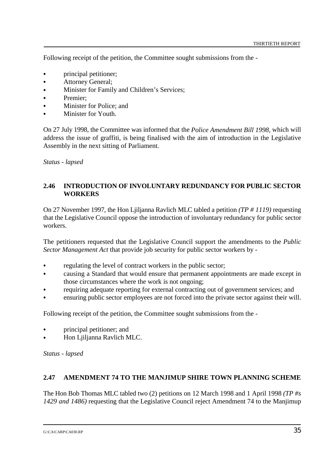Following receipt of the petition, the Committee sought submissions from the -

- principal petitioner;
- & Attorney General;
- Minister for Family and Children's Services;
- Premier:
- Minister for Police; and
- Minister for Youth.

On 27 July 1998, the Committee was informed that the *Police Amendment Bill 1998,* which will address the issue of graffiti, is being finalised with the aim of introduction in the Legislative Assembly in the next sitting of Parliament.

*Status - lapsed*

#### **2.46 INTRODUCTION OF INVOLUNTARY REDUNDANCY FOR PUBLIC SECTOR WORKERS**

On 27 November 1997, the Hon Ljiljanna Ravlich MLC tabled a petition *(TP # 1119)* requesting that the Legislative Council oppose the introduction of involuntary redundancy for public sector workers.

The petitioners requested that the Legislative Council support the amendments to the *Public Sector Management Act* that provide job security for public sector workers by -

- regulating the level of contract workers in the public sector;
- & causing a Standard that would ensure that permanent appointments are made except in those circumstances where the work is not ongoing;
- requiring adequate reporting for external contracting out of government services; and
- ensuring public sector employees are not forced into the private sector against their will.

Following receipt of the petition, the Committee sought submissions from the -

- & principal petitioner; and
- Hon Ljiljanna Ravlich MLC.

*Status - lapsed*

#### **2.47 AMENDMENT 74 TO THE MANJIMUP SHIRE TOWN PLANNING SCHEME**

The Hon Bob Thomas MLC tabled two (2) petitions on 12 March 1998 and 1 April 1998 *(TP #s 1429 and 1486)* requesting that the Legislative Council reject Amendment 74 to the Manjimup

G:\CA\CARP\CA030.RP  $35$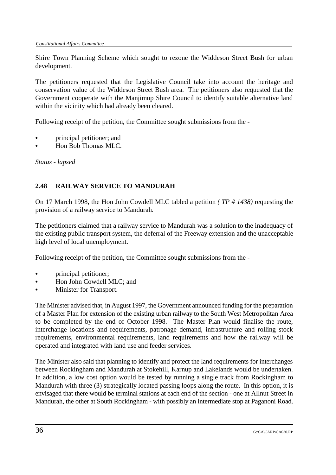Shire Town Planning Scheme which sought to rezone the Widdeson Street Bush for urban development.

The petitioners requested that the Legislative Council take into account the heritage and conservation value of the Widdeson Street Bush area. The petitioners also requested that the Government cooperate with the Manjimup Shire Council to identify suitable alternative land within the vicinity which had already been cleared.

Following receipt of the petition, the Committee sought submissions from the -

- & principal petitioner; and
- Hon Bob Thomas MLC.

*Status - lapsed*

## **2.48 RAILWAY SERVICE TO MANDURAH**

On 17 March 1998, the Hon John Cowdell MLC tabled a petition *( TP # 1438)* requesting the provision of a railway service to Mandurah.

The petitioners claimed that a railway service to Mandurah was a solution to the inadequacy of the existing public transport system, the deferral of the Freeway extension and the unacceptable high level of local unemployment.

Following receipt of the petition, the Committee sought submissions from the -

- principal petitioner;
- Hon John Cowdell MLC: and
- Minister for Transport.

The Minister advised that, in August 1997, the Government announced funding for the preparation of a Master Plan for extension of the existing urban railway to the South West Metropolitan Area to be completed by the end of October 1998. The Master Plan would finalise the route, interchange locations and requirements, patronage demand, infrastructure and rolling stock requirements, environmental requirements, land requirements and how the railway will be operated and integrated with land use and feeder services.

The Minister also said that planning to identify and protect the land requirements for interchanges between Rockingham and Mandurah at Stokehill, Karnup and Lakelands would be undertaken. In addition, a low cost option would be tested by running a single track from Rockingham to Mandurah with three (3) strategically located passing loops along the route. In this option, it is envisaged that there would be terminal stations at each end of the section - one at Allnut Street in Mandurah, the other at South Rockingham - with possibly an intermediate stop at Paganoni Road.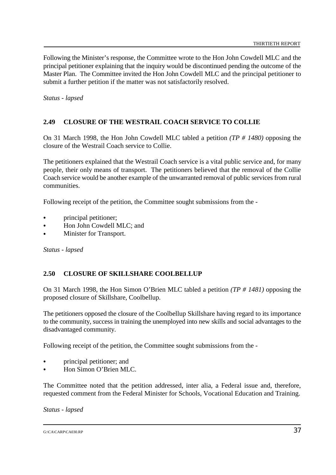Following the Minister's response, the Committee wrote to the Hon John Cowdell MLC and the principal petitioner explaining that the inquiry would be discontinued pending the outcome of the Master Plan. The Committee invited the Hon John Cowdell MLC and the principal petitioner to submit a further petition if the matter was not satisfactorily resolved.

*Status - lapsed*

## **2.49 CLOSURE OF THE WESTRAIL COACH SERVICE TO COLLIE**

On 31 March 1998, the Hon John Cowdell MLC tabled a petition *(TP # 1480)* opposing the closure of the Westrail Coach service to Collie.

The petitioners explained that the Westrail Coach service is a vital public service and, for many people, their only means of transport. The petitioners believed that the removal of the Collie Coach service would be another example of the unwarranted removal of public services from rural communities.

Following receipt of the petition, the Committee sought submissions from the -

- principal petitioner;
- & Hon John Cowdell MLC; and
- Minister for Transport.

*Status - lapsed*

#### **2.50 CLOSURE OF SKILLSHARE COOLBELLUP**

On 31 March 1998, the Hon Simon O'Brien MLC tabled a petition *(TP # 1481)* opposing the proposed closure of Skillshare, Coolbellup.

The petitioners opposed the closure of the Coolbellup Skillshare having regard to its importance to the community, success in training the unemployed into new skills and social advantages to the disadvantaged community.

Following receipt of the petition, the Committee sought submissions from the -

- & principal petitioner; and
- Hon Simon O'Brien MLC.

The Committee noted that the petition addressed, inter alia, a Federal issue and, therefore, requested comment from the Federal Minister for Schools, Vocational Education and Training.

*Status - lapsed*

G:\CA\CARP\CA030.RP  $37$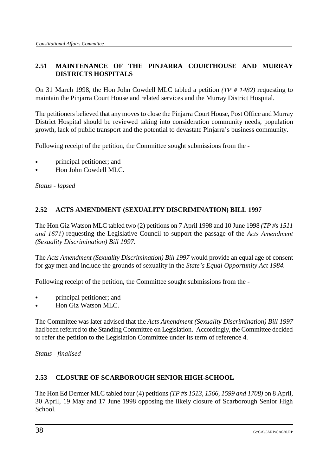# **2.51 MAINTENANCE OF THE PINJARRA COURTHOUSE AND MURRAY DISTRICTS HOSPITALS**

On 31 March 1998, the Hon John Cowdell MLC tabled a petition *(TP # 1482)* requesting to maintain the Pinjarra Court House and related services and the Murray District Hospital.

The petitioners believed that any moves to close the Pinjarra Court House, Post Office and Murray District Hospital should be reviewed taking into consideration community needs, population growth, lack of public transport and the potential to devastate Pinjarra's business community.

Following receipt of the petition, the Committee sought submissions from the -

- & principal petitioner; and
- & Hon John Cowdell MLC.

*Status - lapsed*

# **2.52 ACTS AMENDMENT (SEXUALITY DISCRIMINATION) BILL 1997**

The Hon Giz Watson MLC tabled two (2) petitions on 7 April 1998 and 10 June 1998 *(TP #s 1511 and 1671)* requesting the Legislative Council to support the passage of the *Acts Amendment (Sexuality Discrimination) Bill 1997.*

The *Acts Amendment (Sexuality Discrimination) Bill 1997* would provide an equal age of consent for gay men and include the grounds of sexuality in the *State's Equal Opportunity Act 1984.* 

Following receipt of the petition, the Committee sought submissions from the -

- & principal petitioner; and
- Hon Giz Watson MLC.

The Committee was later advised that the *Acts Amendment (Sexuality Discrimination) Bill 1997* had been referred to the Standing Committee on Legislation. Accordingly, the Committee decided to refer the petition to the Legislation Committee under its term of reference 4.

*Status - finalised*

# **2.53 CLOSURE OF SCARBOROUGH SENIOR HIGH-SCHOOL**

The Hon Ed Dermer MLC tabled four (4) petitions *(TP #s 1513, 1566, 1599 and 1708)* on 8 April, 30 April, 19 May and 17 June 1998 opposing the likely closure of Scarborough Senior High School.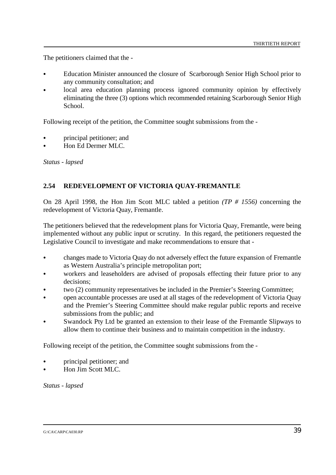The petitioners claimed that the -

- & Education Minister announced the closure of Scarborough Senior High School prior to any community consultation; and
- local area education planning process ignored community opinion by effectively eliminating the three (3) options which recommended retaining Scarborough Senior High School.

Following receipt of the petition, the Committee sought submissions from the -

- & principal petitioner; and
- & Hon Ed Dermer MLC.

*Status - lapsed*

#### **2.54 REDEVELOPMENT OF VICTORIA QUAY-FREMANTLE**

On 28 April 1998, the Hon Jim Scott MLC tabled a petition *(TP # 1556)* concerning the redevelopment of Victoria Quay, Fremantle.

The petitioners believed that the redevelopment plans for Victoria Quay, Fremantle, were being implemented without any public input or scrutiny. In this regard, the petitioners requested the Legislative Council to investigate and make recommendations to ensure that -

- & changes made to Victoria Quay do not adversely effect the future expansion of Fremantle as Western Australia's principle metropolitan port;
- workers and leaseholders are advised of proposals effecting their future prior to any decisions;
- & two (2) community representatives be included in the Premier's Steering Committee;
- & open accountable processes are used at all stages of the redevelopment of Victoria Quay and the Premier's Steering Committee should make regular public reports and receive submissions from the public; and
- Swandock Pty Ltd be granted an extension to their lease of the Fremantle Slipways to allow them to continue their business and to maintain competition in the industry.

Following receipt of the petition, the Committee sought submissions from the -

- & principal petitioner; and
- & Hon Jim Scott MLC.

*Status - lapsed*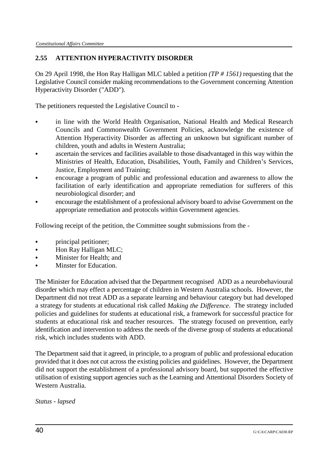# **2.55 ATTENTION HYPERACTIVITY DISORDER**

On 29 April 1998, the Hon Ray Halligan MLC tabled a petition *(TP # 1561)* requesting that the Legislative Council consider making recommendations to the Government concerning Attention Hyperactivity Disorder ("ADD").

The petitioners requested the Legislative Council to -

- & in line with the World Health Organisation, National Health and Medical Research Councils and Commonwealth Government Policies, acknowledge the existence of Attention Hyperactivity Disorder as affecting an unknown but significant number of children, youth and adults in Western Australia;
- & ascertain the services and facilities available to those disadvantaged in this way within the Ministries of Health, Education, Disabilities, Youth, Family and Children's Services, Justice, Employment and Training;
- & encourage a program of public and professional education and awareness to allow the facilitation of early identification and appropriate remediation for sufferers of this neurobiological disorder; and
- & encourage the establishment of a professional advisory board to advise Government on the appropriate remediation and protocols within Government agencies.

Following receipt of the petition, the Committee sought submissions from the -

- principal petitioner;
- & Hon Ray Halligan MLC;
- & Minister for Health; and
- Minster for Education.

The Minister for Education advised that the Department recognised ADD as a neurobehavioural disorder which may effect a percentage of children in Western Australia schools. However, the Department did not treat ADD as a separate learning and behaviour category but had developed a strategy for students at educational risk called *Making the Difference*. The strategy included policies and guidelines for students at educational risk, a framework for successful practice for students at educational risk and teacher resources. The strategy focused on prevention, early identification and intervention to address the needs of the diverse group of students at educational risk, which includes students with ADD.

The Department said that it agreed, in principle, to a program of public and professional education provided that it does not cut across the existing policies and guidelines. However, the Department did not support the establishment of a professional advisory board, but supported the effective utilisation of existing support agencies such as the Learning and Attentional Disorders Society of Western Australia.

*Status - lapsed*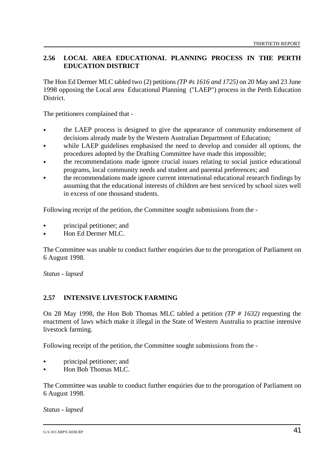## **2.56 LOCAL AREA EDUCATIONAL PLANNING PROCESS IN THE PERTH EDUCATION DISTRICT**

The Hon Ed Dermer MLC tabled two (2) petitions *(TP #s 1616 and 1725)* on 20 May and 23 June 1998 opposing the Local area Educational Planning ("LAEP") process in the Perth Education District.

The petitioners complained that -

- the LAEP process is designed to give the appearance of community endorsement of decisions already made by the Western Australian Department of Education;
- while LAEP guidelines emphasised the need to develop and consider all options, the procedures adopted by the Drafting Committee have made this impossible;
- the recommendations made ignore crucial issues relating to social justice educational programs, local community needs and student and parental preferences; and
- the recommendations made ignore current international educational research findings by assuming that the educational interests of children are best serviced by school sizes well in excess of one thousand students.

Following receipt of the petition, the Committee sought submissions from the -

- & principal petitioner; and
- & Hon Ed Dermer MLC.

The Committee was unable to conduct further enquiries due to the prorogation of Parliament on 6 August 1998.

*Status - lapsed*

#### **2.57 INTENSIVE LIVESTOCK FARMING**

On 28 May 1998, the Hon Bob Thomas MLC tabled a petition *(TP # 1632)* requesting the enactment of laws which make it illegal in the State of Western Australia to practise intensive livestock farming.

Following receipt of the petition, the Committee sought submissions from the -

- & principal petitioner; and
- Hon Bob Thomas MLC.

The Committee was unable to conduct further enquiries due to the prorogation of Parliament on 6 August 1998.

*Status - lapsed*

 $G:\c{C}A\text{C}ARP\text{C}A030.RP$  41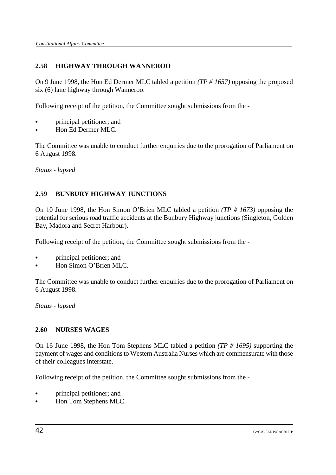# **2.58 HIGHWAY THROUGH WANNEROO**

On 9 June 1998, the Hon Ed Dermer MLC tabled a petition *(TP # 1657)* opposing the proposed six (6) lane highway through Wanneroo.

Following receipt of the petition, the Committee sought submissions from the -

- & principal petitioner; and
- & Hon Ed Dermer MLC.

The Committee was unable to conduct further enquiries due to the prorogation of Parliament on 6 August 1998.

*Status - lapsed*

# **2.59 BUNBURY HIGHWAY JUNCTIONS**

On 10 June 1998, the Hon Simon O'Brien MLC tabled a petition *(TP # 1673)* opposing the potential for serious road traffic accidents at the Bunbury Highway junctions (Singleton, Golden Bay, Madora and Secret Harbour).

Following receipt of the petition, the Committee sought submissions from the -

- & principal petitioner; and
- Hon Simon O'Brien MLC.

The Committee was unable to conduct further enquiries due to the prorogation of Parliament on 6 August 1998.

*Status - lapsed*

# **2.60 NURSES WAGES**

On 16 June 1998, the Hon Tom Stephens MLC tabled a petition *(TP # 1695)* supporting the payment of wages and conditions to Western Australia Nurses which are commensurate with those of their colleagues interstate.

Following receipt of the petition, the Committee sought submissions from the -

- & principal petitioner; and
- & Hon Tom Stephens MLC.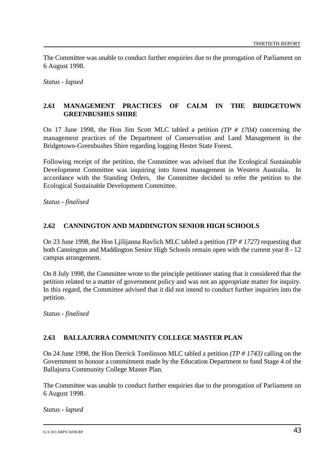The Committee was unable to conduct further enquiries due to the prorogation of Parliament on 6 August 1998.

*Status - lapsed*

## **2.61 MANAGEMENT PRACTICES OF CALM IN THE BRIDGETOWN GREENBUSHES SHIRE**

On 17 June 1998, the Hon Jim Scott MLC tabled a petition *(TP # 1704)* concerning the management practices of the Department of Conservation and Land Management in the Bridgetown-Greenbushes Shire regarding logging Hester State Forest.

Following receipt of the petition, the Committee was advised that the Ecological Sustainable Development Committee was inquiring into forest management in Western Australia. In accordance with the Standing Orders, the Committee decided to refer the petition to the Ecological Sustainable Development Committee.

*Status - finalised*

#### **2.62 CANNINGTON AND MADDINGTON SENIOR HIGH SCHOOLS**

On 23 June 1998, the Hon Ljilijanna Ravlich MLC tabled a petition *(TP # 1727)* requesting that both Cannington and Maddington Senior High Schools remain open with the current year 8 - 12 campus arrangement.

On 8 July 1998, the Committee wrote to the principle petitioner stating that it considered that the petition related to a matter of government policy and was not an appropriate matter for inquiry. In this regard, the Committee advised that it did not intend to conduct further inquiries into the petition.

*Status - finalised*

#### **2.63 BALLAJURRA COMMUNITY COLLEGE MASTER PLAN**

On 24 June 1998, the Hon Derrick Tomlinson MLC tabled a petition *(TP # 1743)* calling on the Government to honour a commitment made by the Education Department to fund Stage 4 of the Ballajurra Community College Master Plan.

The Committee was unable to conduct further enquiries due to the prorogation of Parliament on 6 August 1998.

*Status - lapsed*

### $G:\C{C}A\text{C}ARP\text{C}A030.RP$  43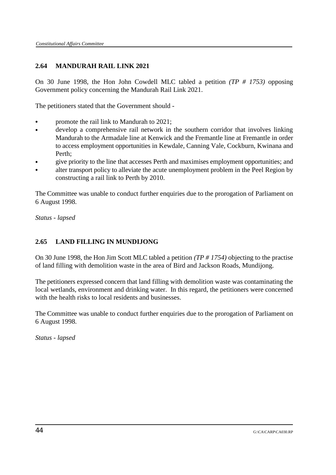# **2.64 MANDURAH RAIL LINK 2021**

On 30 June 1998, the Hon John Cowdell MLC tabled a petition *(TP # 1753)* opposing Government policy concerning the Mandurah Rail Link 2021.

The petitioners stated that the Government should -

- promote the rail link to Mandurah to 2021;
- develop a comprehensive rail network in the southern corridor that involves linking Mandurah to the Armadale line at Kenwick and the Fremantle line at Fremantle in order to access employment opportunities in Kewdale, Canning Vale, Cockburn, Kwinana and Perth;
- & give priority to the line that accesses Perth and maximises employment opportunities; and
- alter transport policy to alleviate the acute unemployment problem in the Peel Region by constructing a rail link to Perth by 2010.

The Committee was unable to conduct further enquiries due to the prorogation of Parliament on 6 August 1998.

*Status - lapsed*

# **2.65 LAND FILLING IN MUNDIJONG**

On 30 June 1998, the Hon Jim Scott MLC tabled a petition *(TP # 1754)* objecting to the practise of land filling with demolition waste in the area of Bird and Jackson Roads, Mundijong.

The petitioners expressed concern that land filling with demolition waste was contaminating the local wetlands, environment and drinking water. In this regard, the petitioners were concerned with the health risks to local residents and businesses.

The Committee was unable to conduct further enquiries due to the prorogation of Parliament on 6 August 1998.

*Status - lapsed*